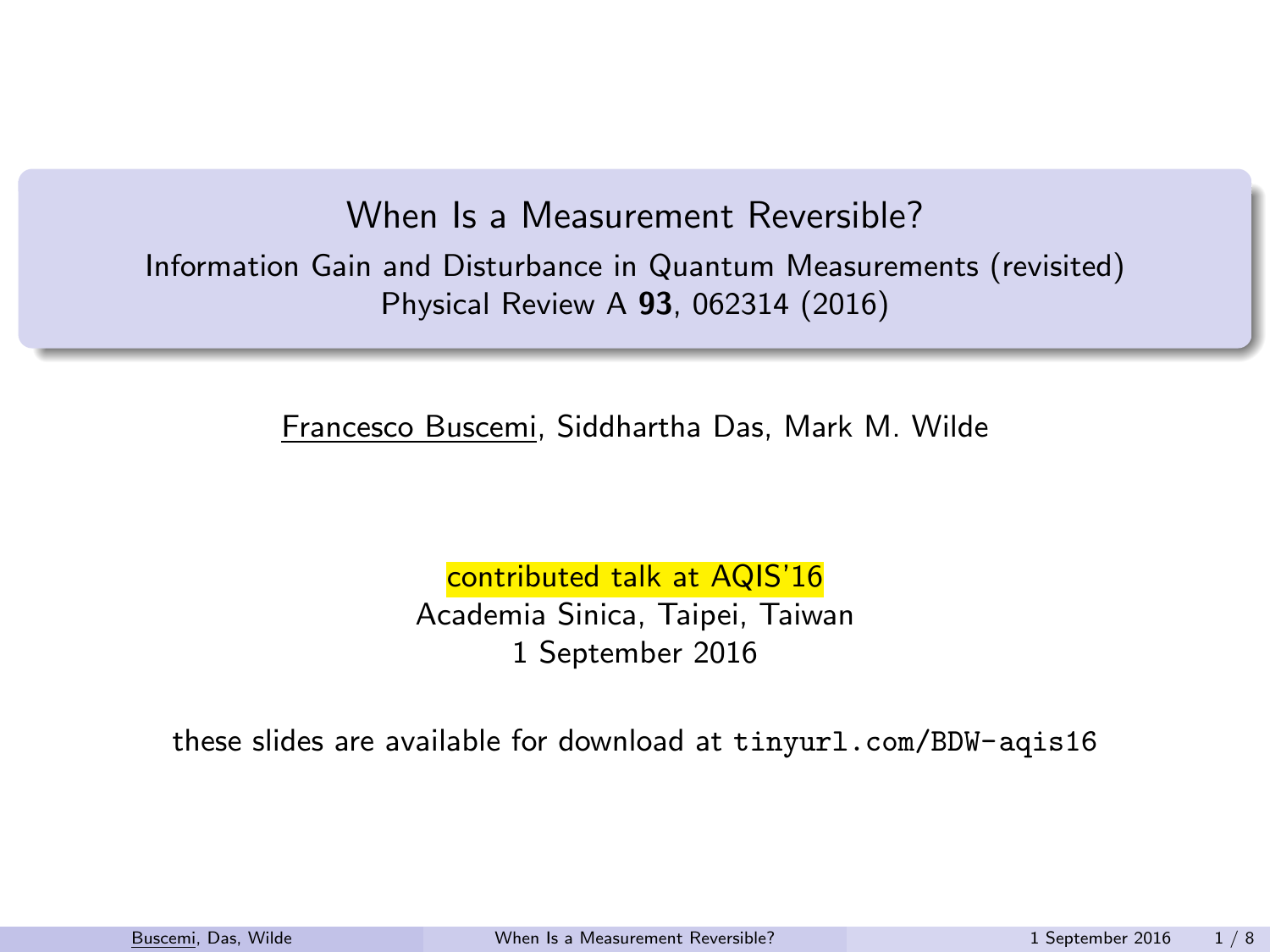#### When Is a Measurement Reversible?

Information Gain and Disturbance in Quantum Measurements (revisited) Physical Review A 93, 062314 (2016)

Francesco Buscemi, Siddhartha Das, Mark M. Wilde

<span id="page-0-0"></span>contributed talk at AQIS'16 Academia Sinica, Taipei, Taiwan 1 September 2016

these slides are available for download at <tinyurl.com/BDW-aqis16>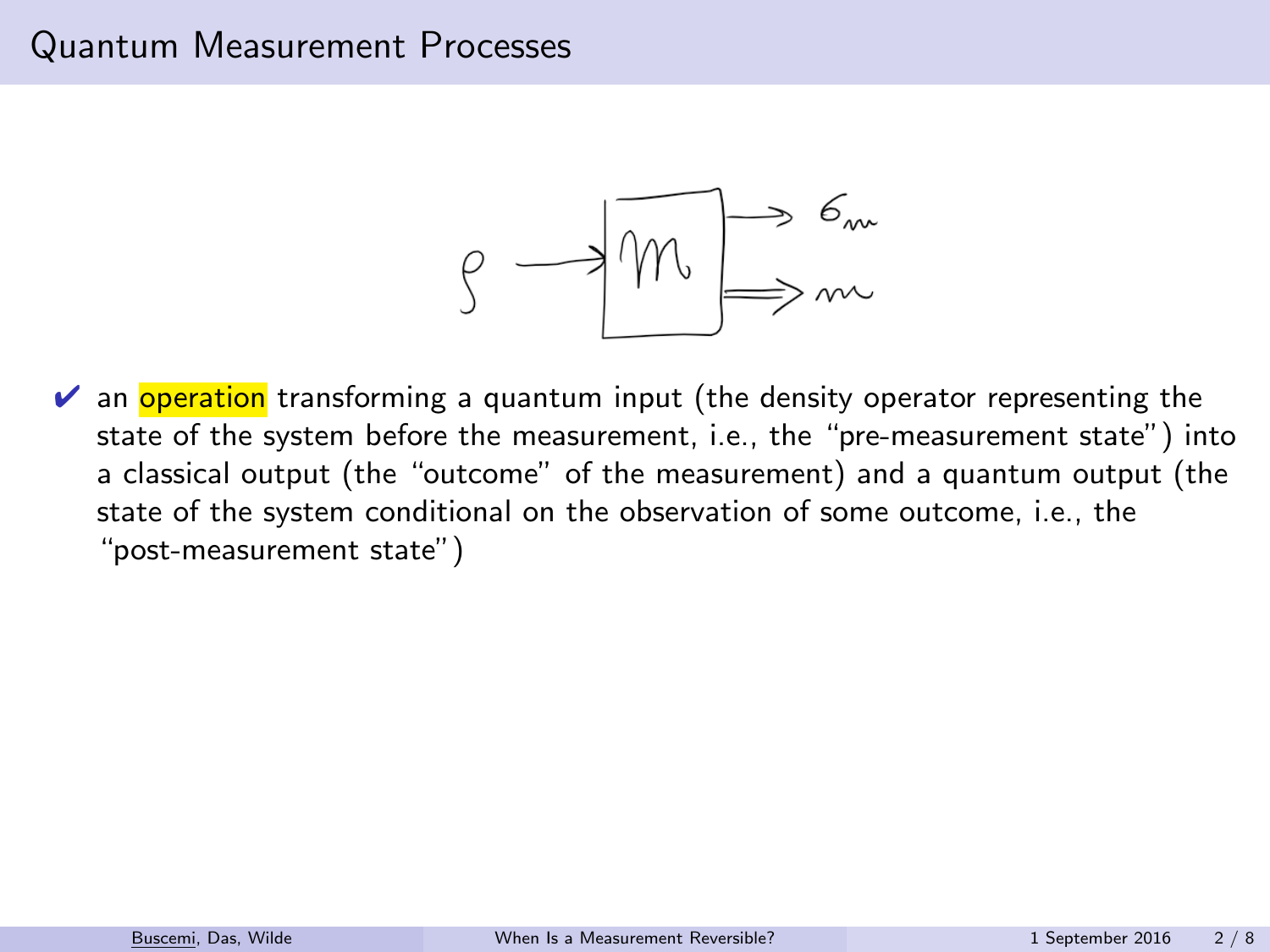### Quantum Measurement Processes



 $\vee$  an **operation** transforming a quantum input (the density operator representing the state of the system before the measurement, i.e., the "pre-measurement state") into a classical output (the "outcome" of the measurement) and a quantum output (the state of the system conditional on the observation of some outcome, i.e., the "post-measurement state")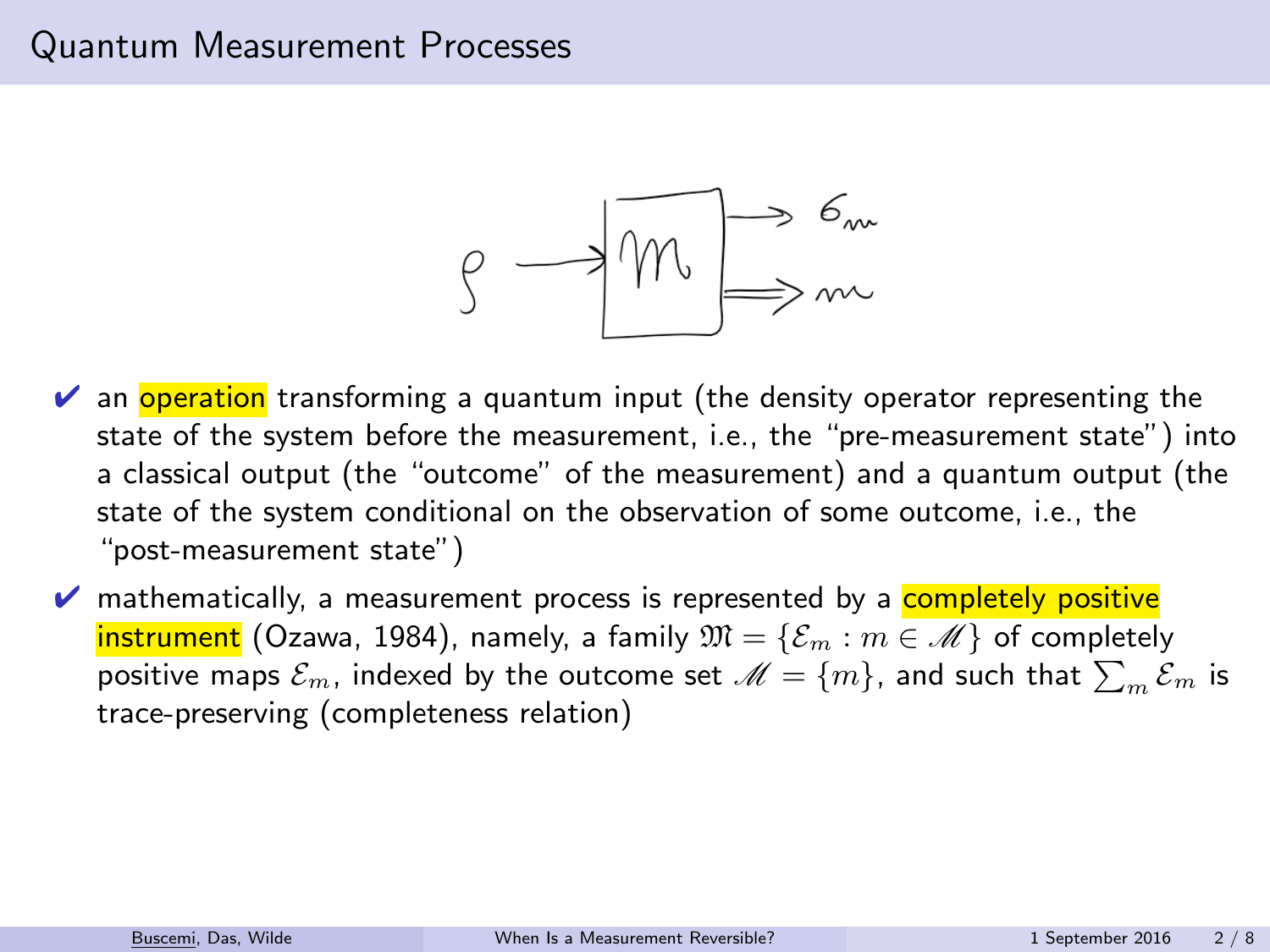### Quantum Measurement Processes



- $\vee$  an **operation** transforming a quantum input (the density operator representing the state of the system before the measurement, i.e., the "pre-measurement state") into a classical output (the "outcome" of the measurement) and a quantum output (the state of the system conditional on the observation of some outcome, i.e., the "post-measurement state")
- $\triangledown$  mathematically, a measurement process is represented by a **completely positive instrument** (Ozawa, 1984), namely, a family  $\mathfrak{M} = {\mathcal{E}_m : m \in \mathcal{M}}$  of completely positive maps  $\mathcal{E}_m$ , indexed by the outcome set  $\mathscr{M}=\{m\}$ , and such that  $\sum_m \mathcal{E}_m$  is trace-preserving (completeness relation)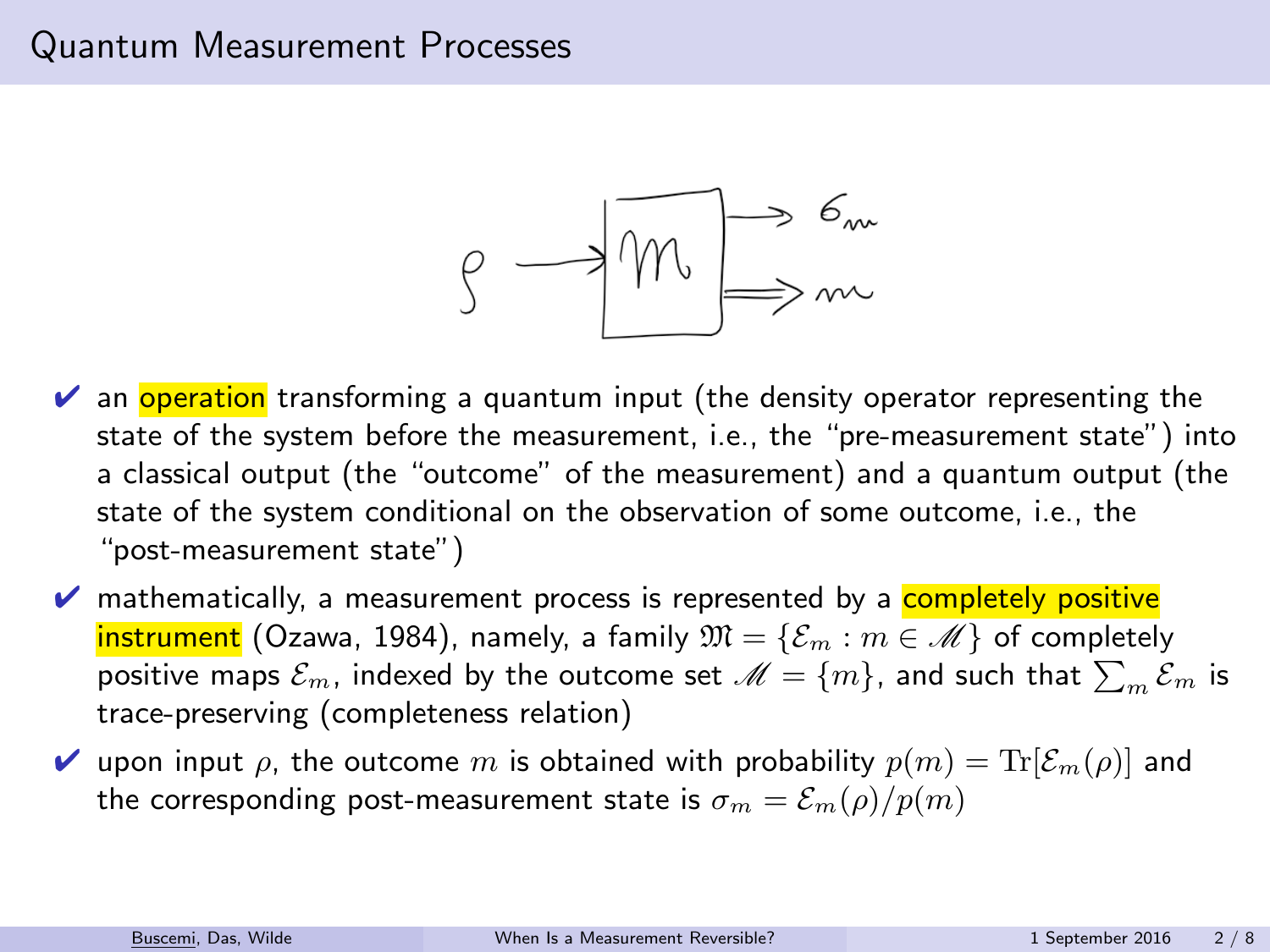### Quantum Measurement Processes



- $\vee$  an **operation** transforming a quantum input (the density operator representing the state of the system before the measurement, i.e., the "pre-measurement state") into a classical output (the "outcome" of the measurement) and a quantum output (the state of the system conditional on the observation of some outcome, i.e., the "post-measurement state")
- $\triangledown$  mathematically, a measurement process is represented by a **completely positive instrument** (Ozawa, 1984), namely, a family  $\mathfrak{M} = {\mathcal{E}_m : m \in \mathcal{M}}$  of completely positive maps  $\mathcal{E}_m$ , indexed by the outcome set  $\mathscr{M}=\{m\}$ , and such that  $\sum_m \mathcal{E}_m$  is trace-preserving (completeness relation)
- $\blacktriangleright$  upon input  $\rho$ , the outcome m is obtained with probability  $p(m) = \text{Tr}[\mathcal{E}_m(\rho)]$  and the corresponding post-measurement state is  $\sigma_m = \mathcal{E}_m(\rho)/p(m)$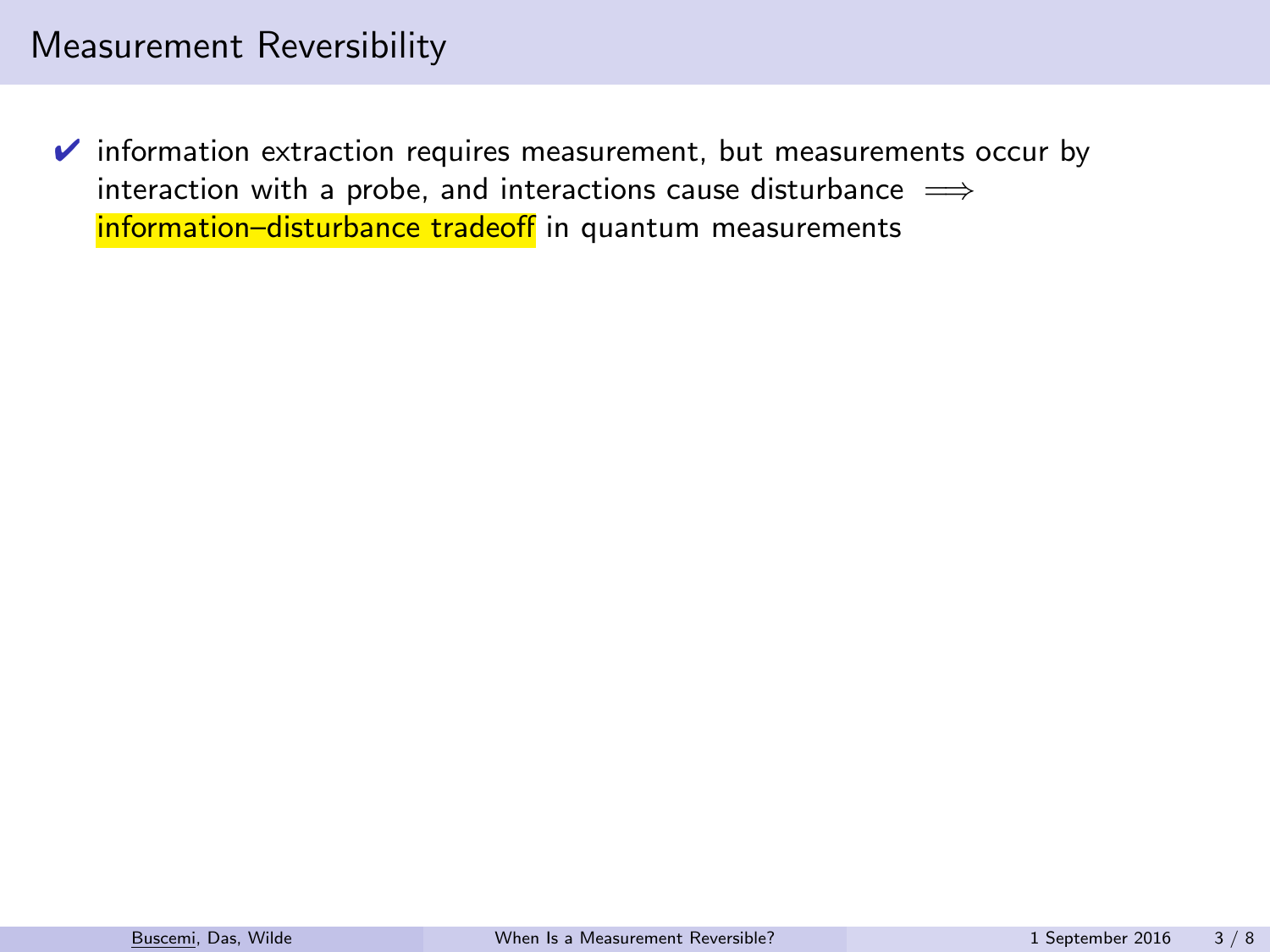$\triangleright$  information extraction requires measurement, but measurements occur by interaction with a probe, and interactions cause disturbance  $\implies$ information-disturbance tradeoff in quantum measurements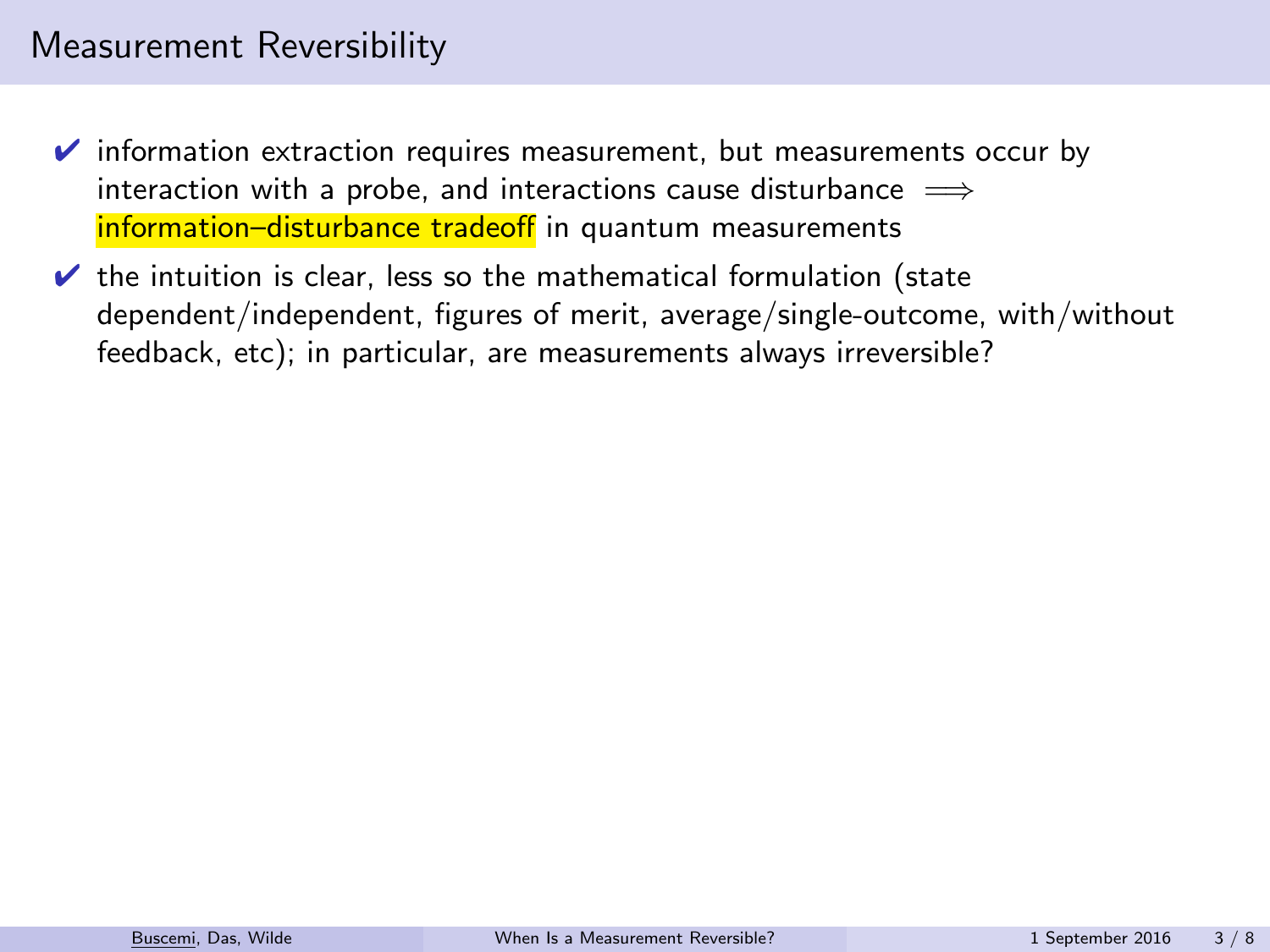- $\triangleright$  information extraction requires measurement, but measurements occur by interaction with a probe, and interactions cause disturbance  $\implies$ information–disturbance tradeoff in quantum measurements
- $\vee$  the intuition is clear, less so the mathematical formulation (state dependent/independent, figures of merit, average/single-outcome, with/without feedback, etc); in particular, are measurements always irreversible?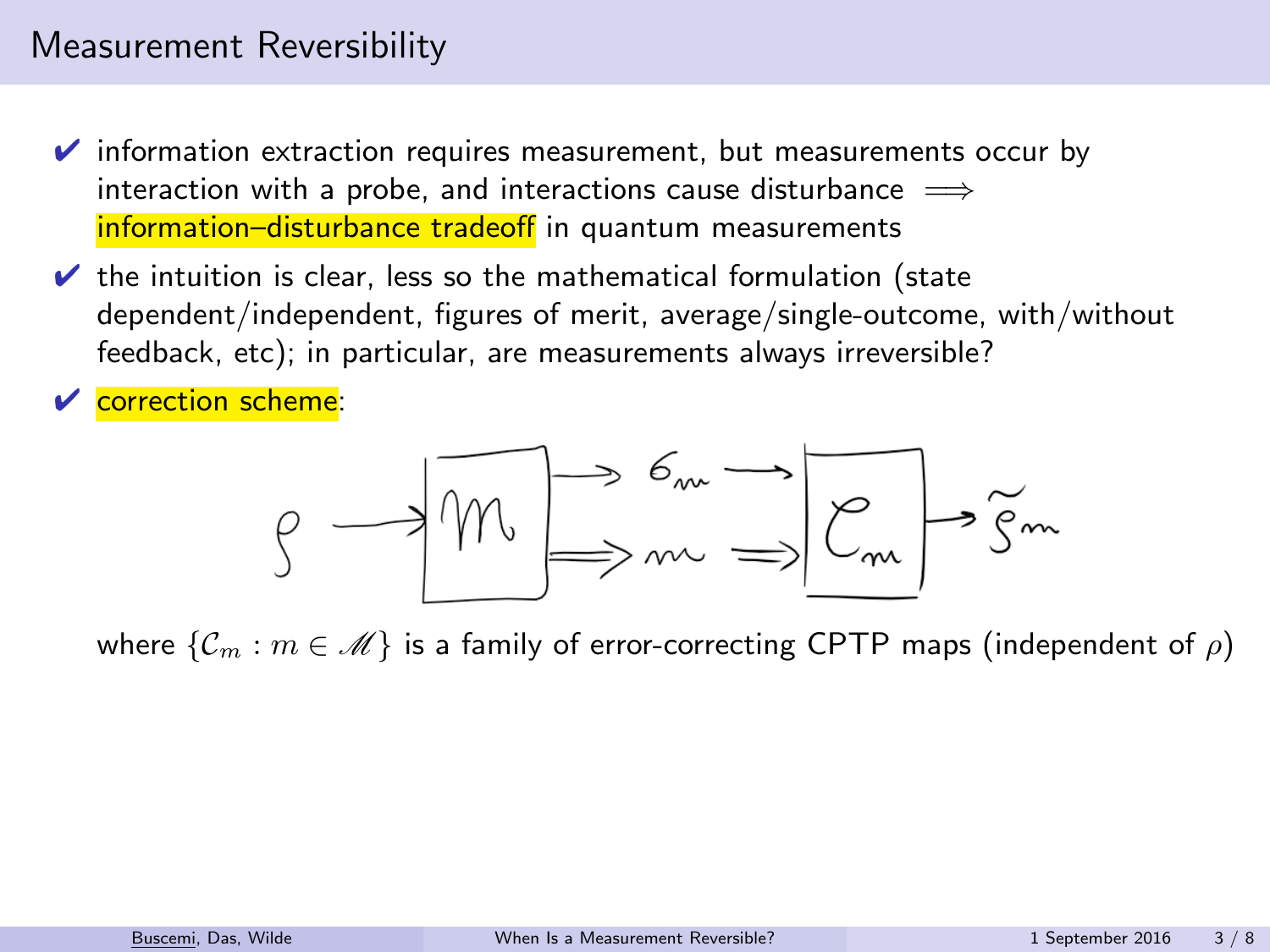- $\triangleright$  information extraction requires measurement, but measurements occur by interaction with a probe, and interactions cause disturbance  $\implies$ information–disturbance tradeoff in quantum measurements
- $\vee$  the intuition is clear, less so the mathematical formulation (state dependent/independent, figures of merit, average/single-outcome, with/without feedback, etc); in particular, are measurements always irreversible?

**✓** correction scheme:

$$
\beta \longrightarrow \boxed{\mathcal{W} \Longrightarrow^{\mathcal{C}_{m}} \Longrightarrow} \boxed{\mathcal{C}_{m}} \Longrightarrow \widetilde{\mathcal{S}^{m}}
$$

where  $\{\mathcal{C}_m : m \in \mathcal{M}\}\$  is a family of error-correcting CPTP maps (independent of  $\rho$ )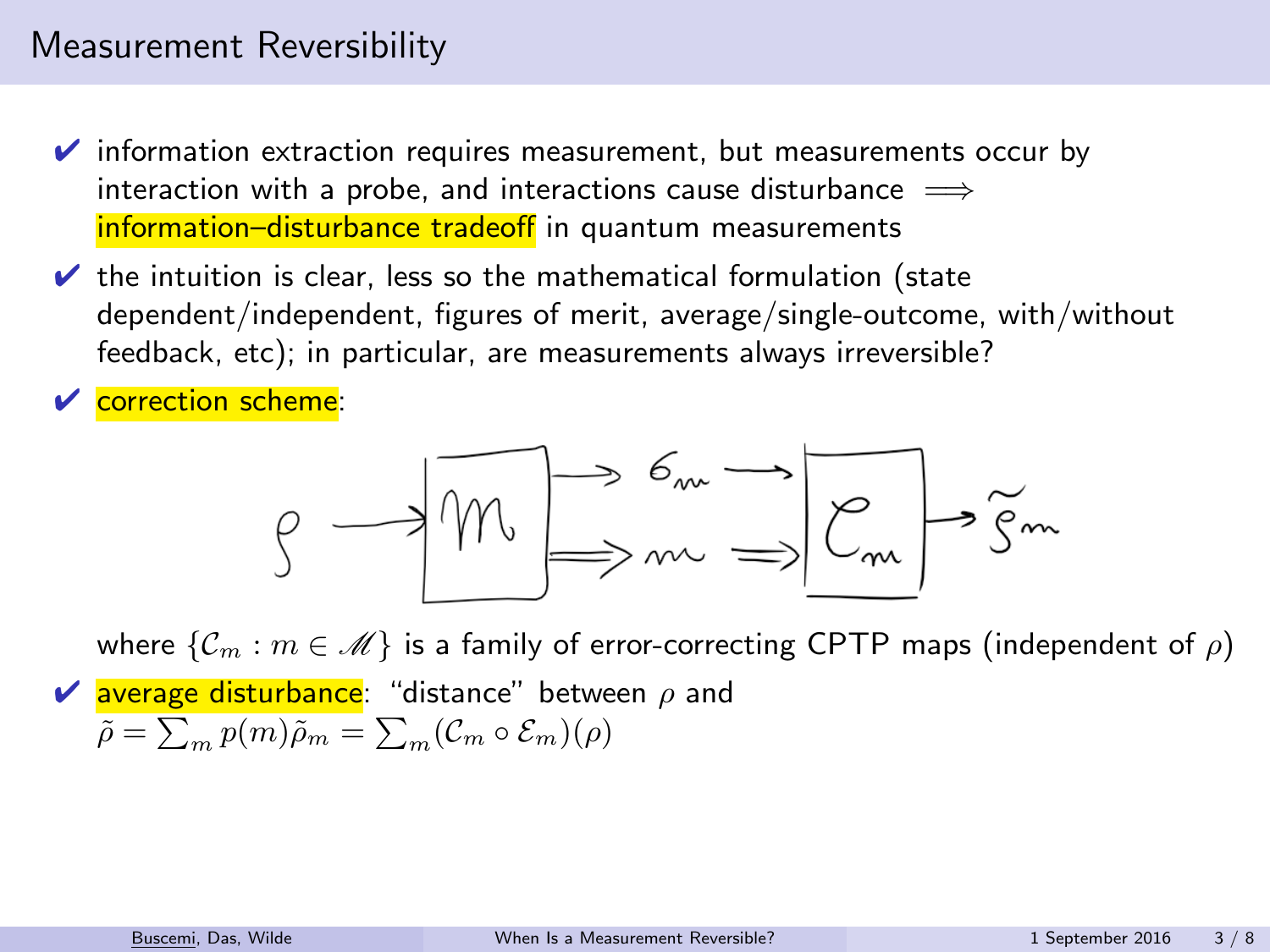- $\triangleright$  information extraction requires measurement, but measurements occur by interaction with a probe, and interactions cause disturbance  $\implies$ information–disturbance tradeoff in quantum measurements
- $\vee$  the intuition is clear, less so the mathematical formulation (state dependent/independent, figures of merit, average/single-outcome, with/without feedback, etc); in particular, are measurements always irreversible?

**✓** correction scheme:

$$
\beta \longrightarrow \boxed{\mathcal{W} \Longrightarrow^{\mathcal{C}_{m}} \Longrightarrow} \boxed{\mathcal{C}_{m}} \Longrightarrow \widetilde{\mathcal{S}^{m}}
$$

where  $\{\mathcal{C}_m : m \in \mathcal{M}\}\$  is a family of error-correcting CPTP maps (independent of  $\rho$ )  $\vee$  average disturbance: "distance" between  $\rho$  and  $\tilde{\rho} = \sum_m p(m)\tilde{\rho}_m = \sum_m (\mathcal{C}_m \circ \mathcal{E}_m)(\rho)$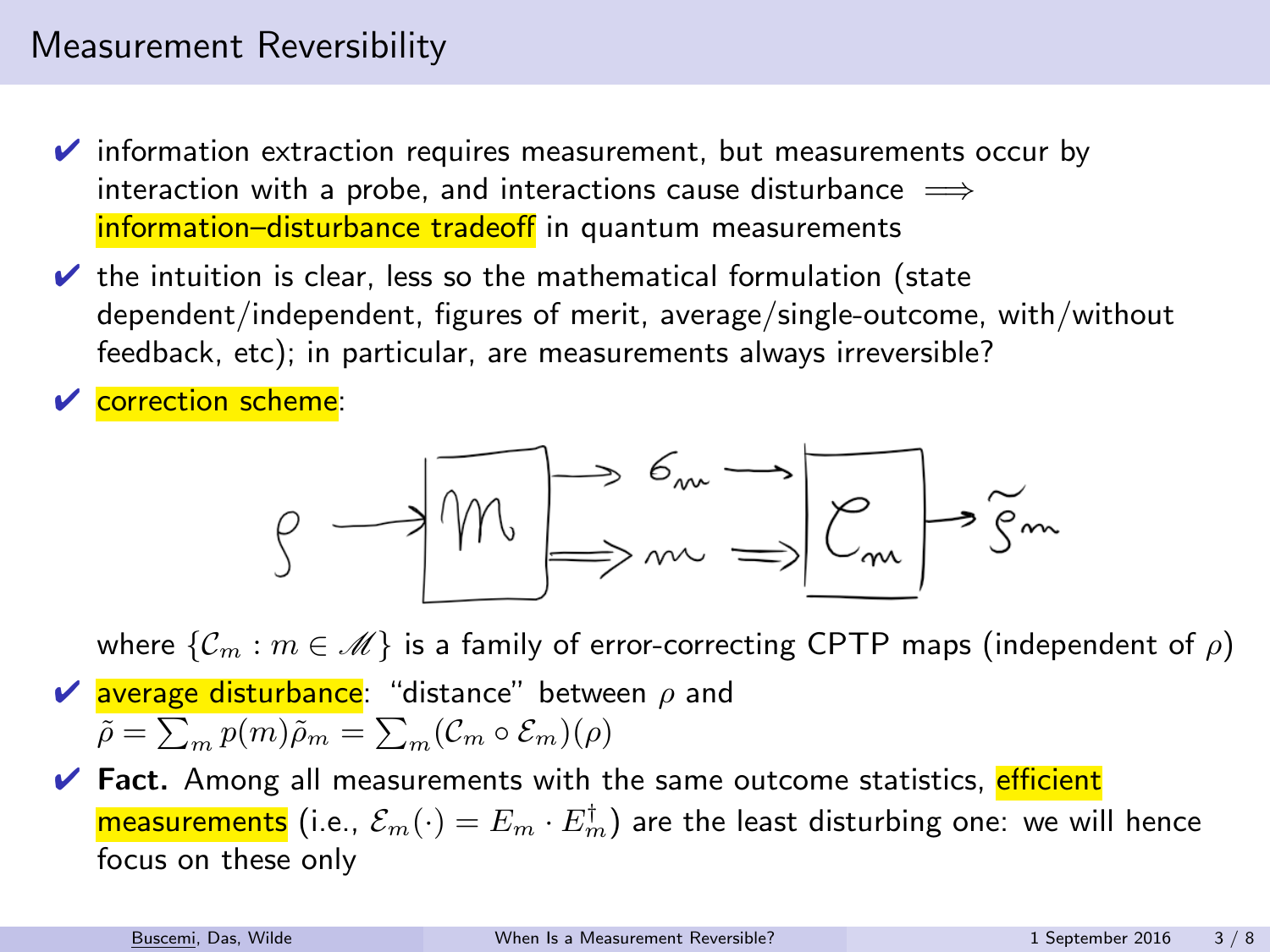- $\triangleright$  information extraction requires measurement, but measurements occur by interaction with a probe, and interactions cause disturbance  $\implies$ information–disturbance tradeoff in quantum measurements
- $\vee$  the intuition is clear, less so the mathematical formulation (state dependent/independent, figures of merit, average/single-outcome, with/without feedback, etc); in particular, are measurements always irreversible?

**✓** correction scheme:

$$
g \rightarrow \boxed{m} \rightarrow \frac{6m}{m} \rightarrow \boxed{e_{m}} \rightarrow \boxed{g_{m}}
$$

where  $\{\mathcal{C}_m : m \in \mathcal{M}\}\$  is a family of error-correcting CPTP maps (independent of  $\rho$ )  $\vee$  average disturbance: "distance" between  $\rho$  and  $\tilde{\rho} = \sum_m p(m)\tilde{\rho}_m = \sum_m (\mathcal{C}_m \circ \mathcal{E}_m)(\rho)$ 

 $\vee$  Fact. Among all measurements with the same outcome statistics, efficient <mark>measurements</mark> (i.e.,  $\mathcal{E}_m(\cdot)=E_m\cdot E_m^\dagger$ ) are the least disturbing one: we will hence focus on these only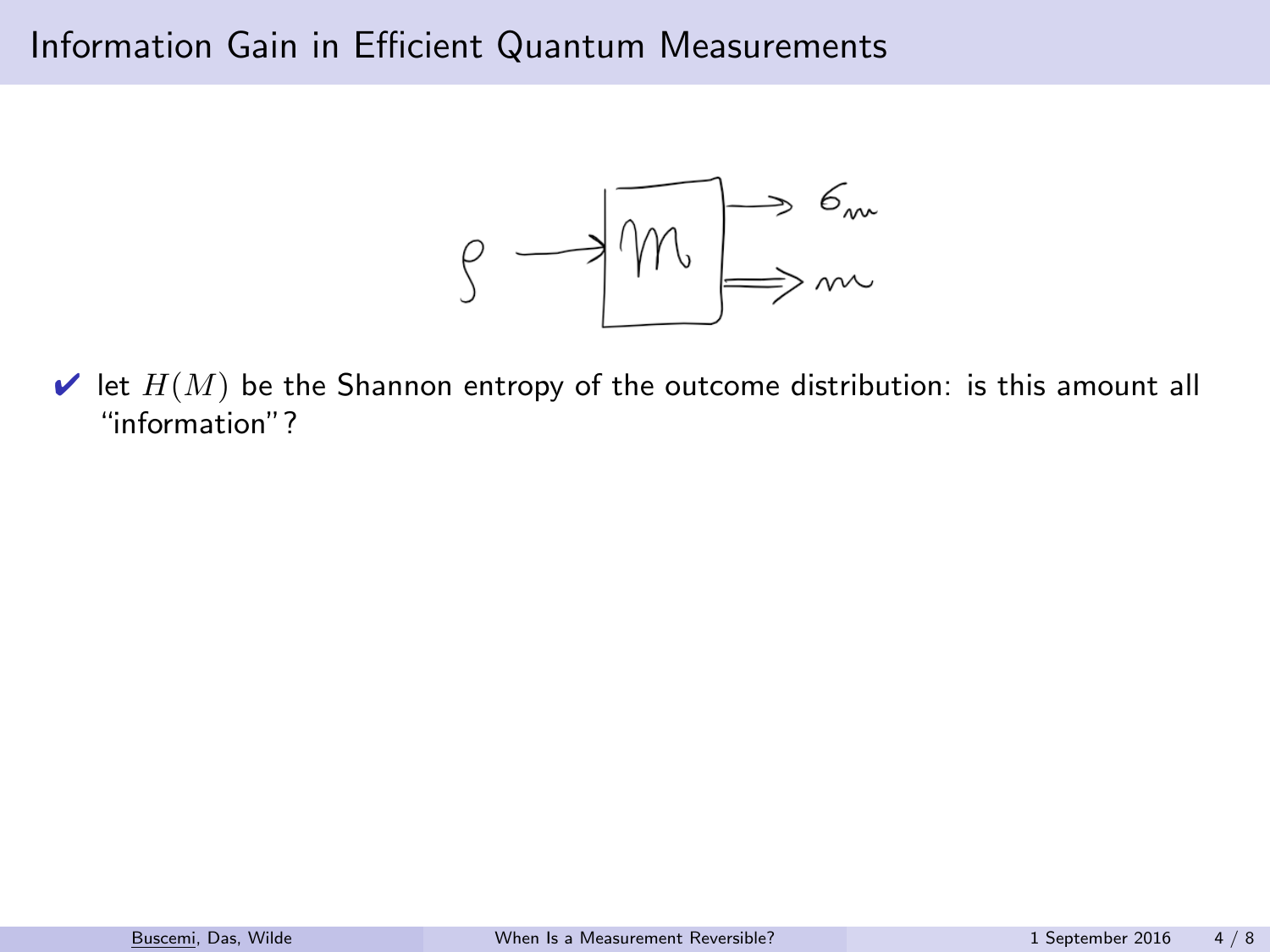

 $\blacktriangleright$  let  $H(M)$  be the Shannon entropy of the outcome distribution: is this amount all "information"?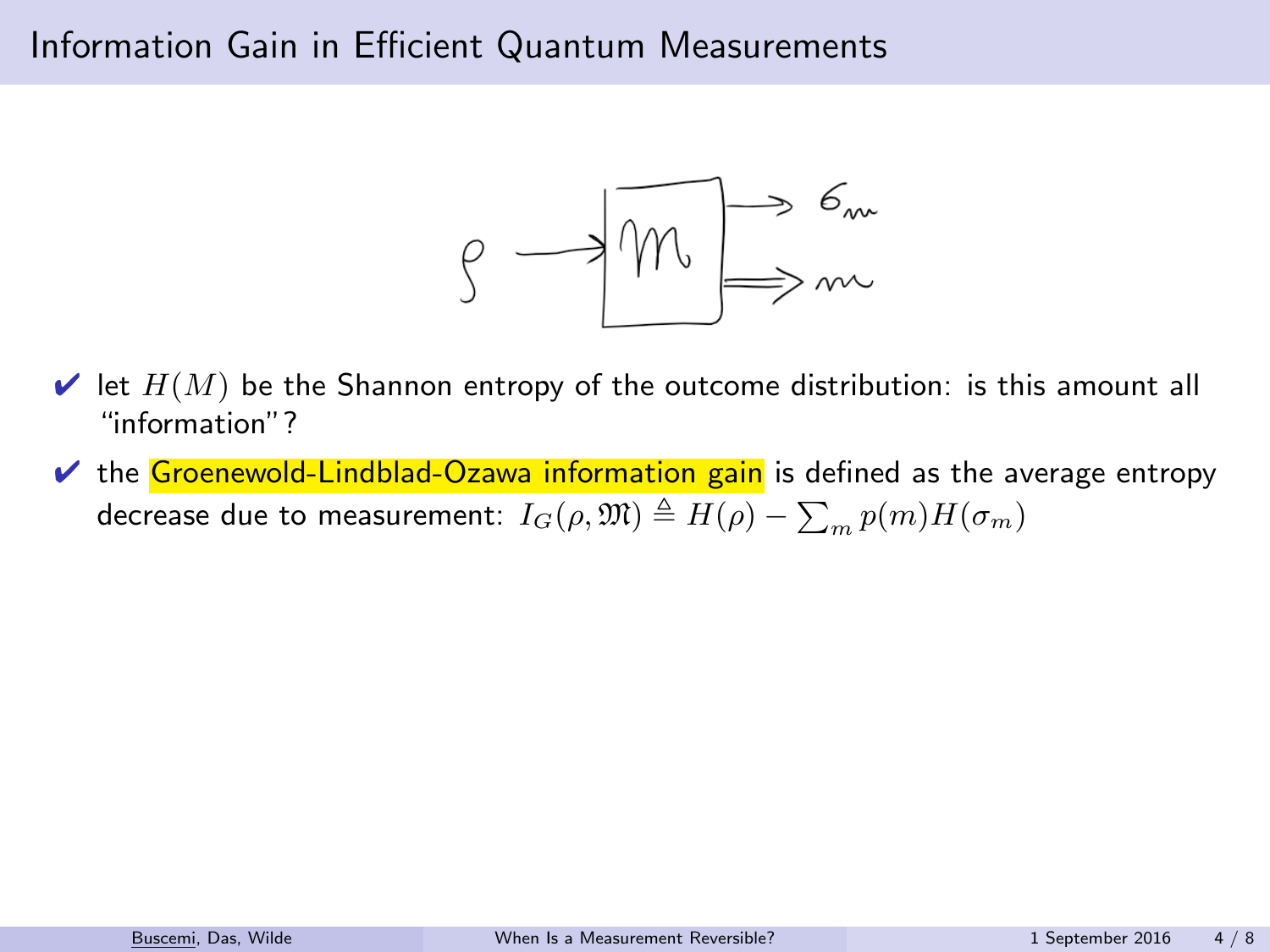

- $\blacktriangleright$  let  $H(M)$  be the Shannon entropy of the outcome distribution: is this amount all "information"?
- $\vee$  the Groenewold-Lindblad-Ozawa information gain is defined as the average entropy decrease due to measurement:  $I_G(\rho,\mathfrak{M})\triangleq H(\rho)-\sum_m p(m)H(\sigma_m)$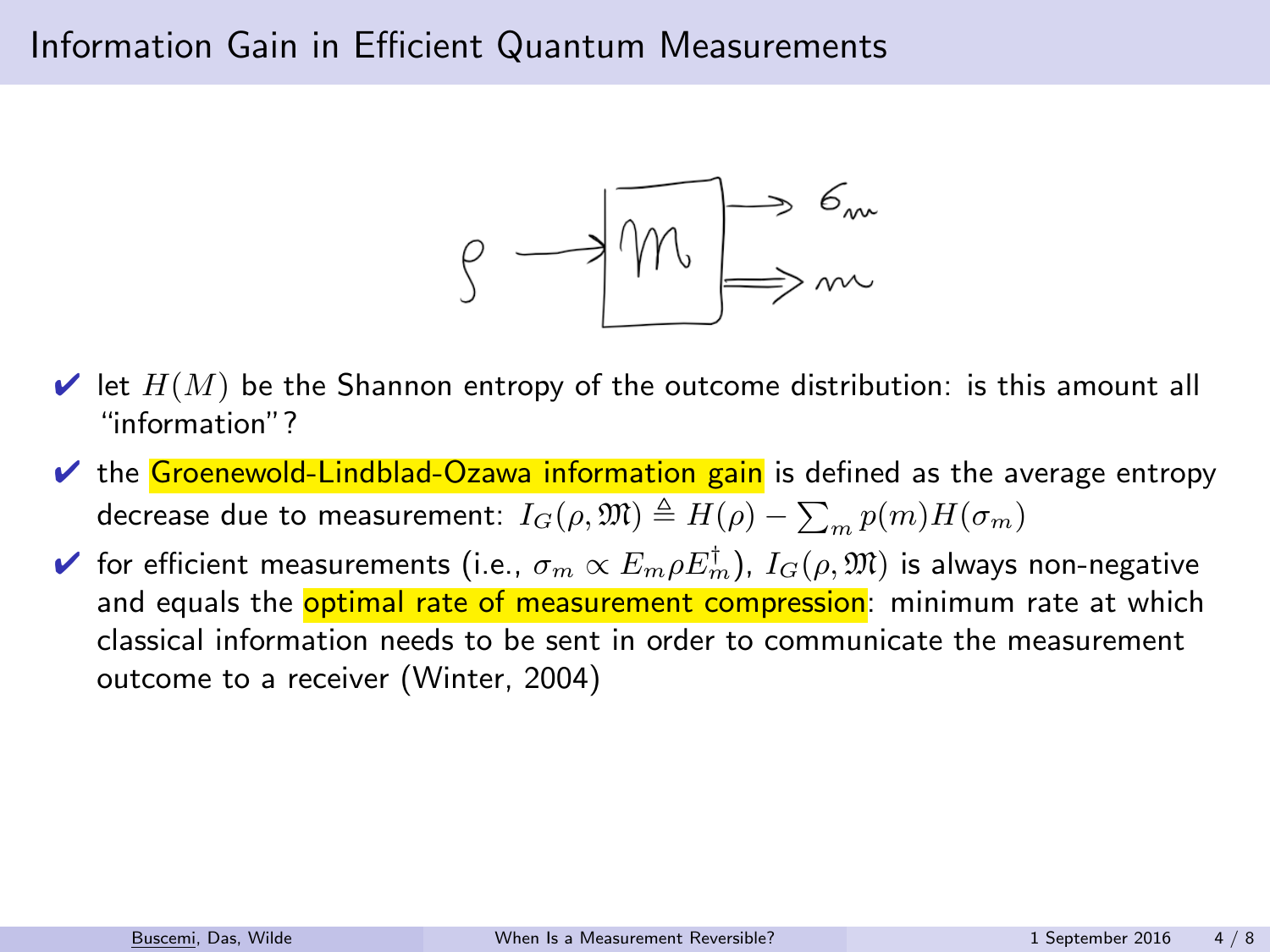

- $\vee$  let  $H(M)$  be the Shannon entropy of the outcome distribution: is this amount all "information"?
- $\vee$  the Groenewold-Lindblad-Ozawa information gain is defined as the average entropy decrease due to measurement:  $I_G(\rho,\mathfrak{M})\triangleq H(\rho)-\sum_m p(m)H(\sigma_m)$
- $\blacktriangleright$  for efficient measurements (i.e.,  $\sigma_m \propto E_m \rho E_m^\dagger$ ),  $I_G(\rho,\mathfrak{M})$  is always non-negative and equals the **optimal rate of measurement compression**: minimum rate at which classical information needs to be sent in order to communicate the measurement outcome to a receiver (Winter, 2004)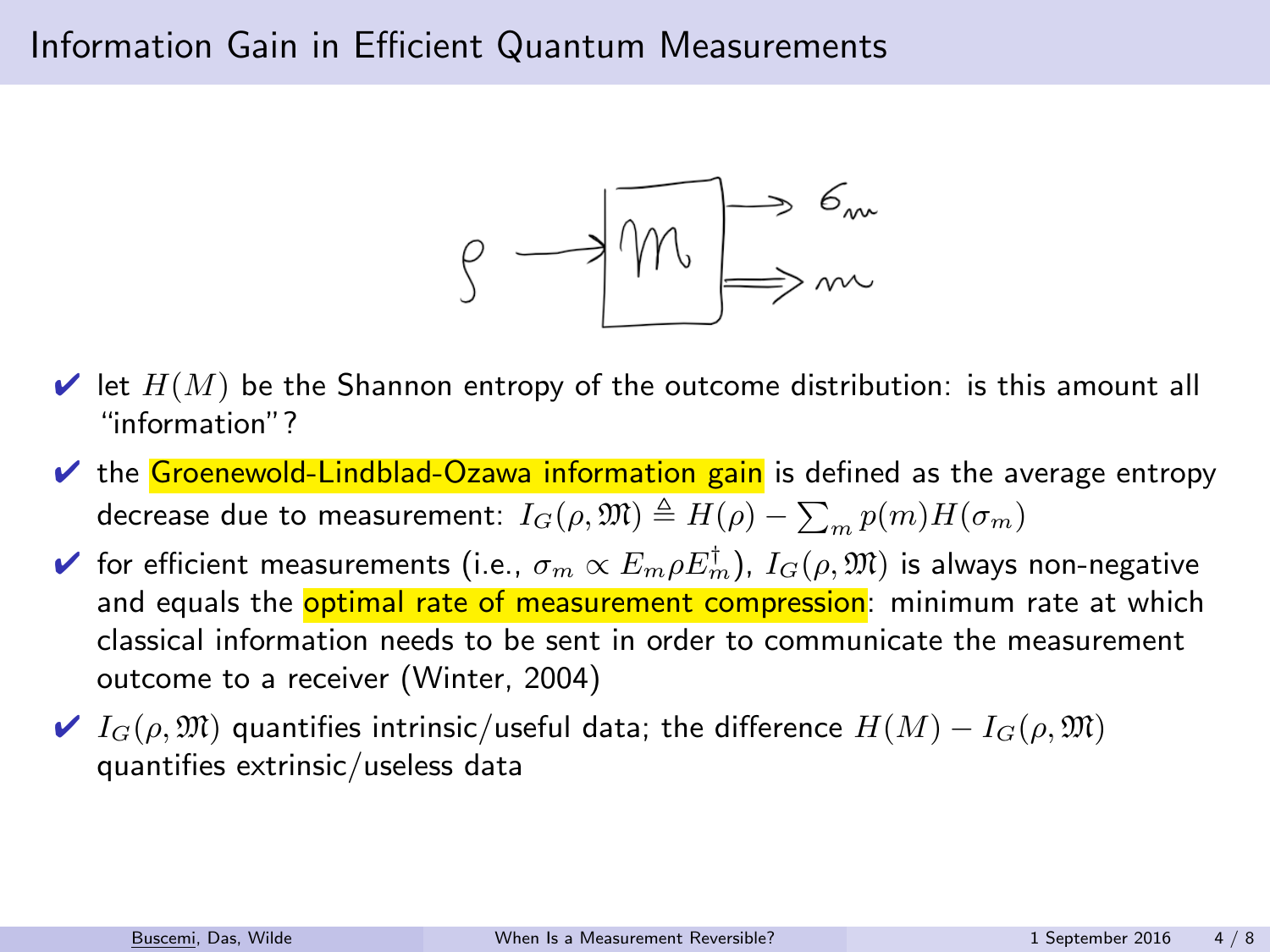

- $\blacktriangleright$  let  $H(M)$  be the Shannon entropy of the outcome distribution: is this amount all "information"?
- $\vee$  the Groenewold-Lindblad-Ozawa information gain is defined as the average entropy decrease due to measurement:  $I_G(\rho,\mathfrak{M})\triangleq H(\rho)-\sum_m p(m)H(\sigma_m)$
- $\blacktriangleright$  for efficient measurements (i.e.,  $\sigma_m \propto E_m \rho E_m^\dagger$ ),  $I_G(\rho,\mathfrak{M})$  is always non-negative and equals the **optimal rate of measurement compression**: minimum rate at which classical information needs to be sent in order to communicate the measurement outcome to a receiver (Winter, 2004)
- $\blacktriangleright$   $I_G(\rho, \mathfrak{M})$  quantifies intrinsic/useful data; the difference  $H(M) I_G(\rho, \mathfrak{M})$ quantifies extrinsic/useless data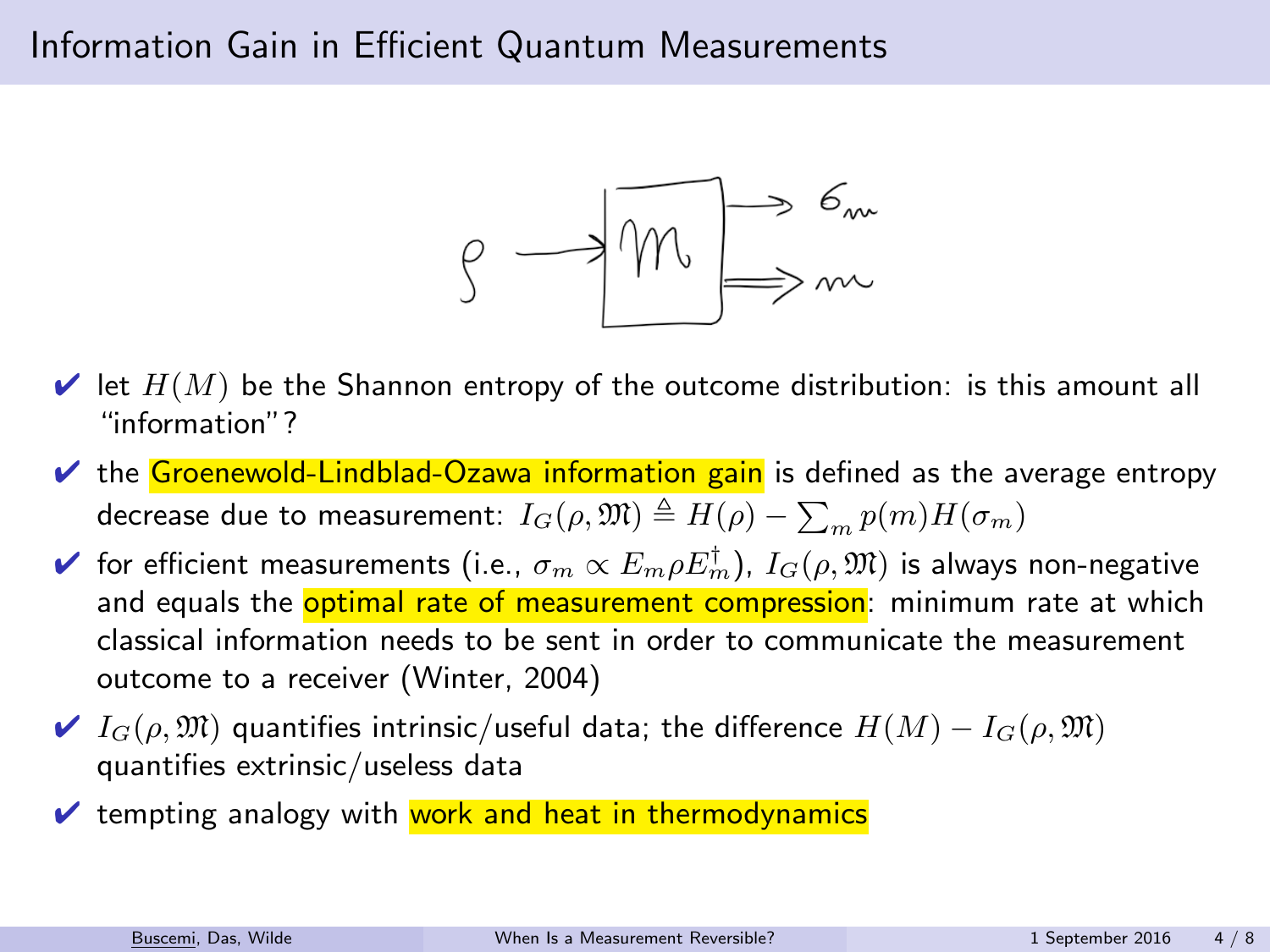

- $\blacktriangleright$  let  $H(M)$  be the Shannon entropy of the outcome distribution: is this amount all "information"?
- $\vee$  the Groenewold-Lindblad-Ozawa information gain is defined as the average entropy decrease due to measurement:  $I_G(\rho,\mathfrak{M})\triangleq H(\rho)-\sum_m p(m)H(\sigma_m)$
- $\blacktriangleright$  for efficient measurements (i.e.,  $\sigma_m \propto E_m \rho E_m^\dagger$ ),  $I_G(\rho,\mathfrak{M})$  is always non-negative and equals the **optimal rate of measurement compression**: minimum rate at which classical information needs to be sent in order to communicate the measurement outcome to a receiver (Winter, 2004)
- $\blacktriangleright$   $I_G(\rho, \mathfrak{M})$  quantifies intrinsic/useful data; the difference  $H(M) I_G(\rho, \mathfrak{M})$ quantifies extrinsic/useless data
- $\vee$  tempting analogy with work and heat in thermodynamics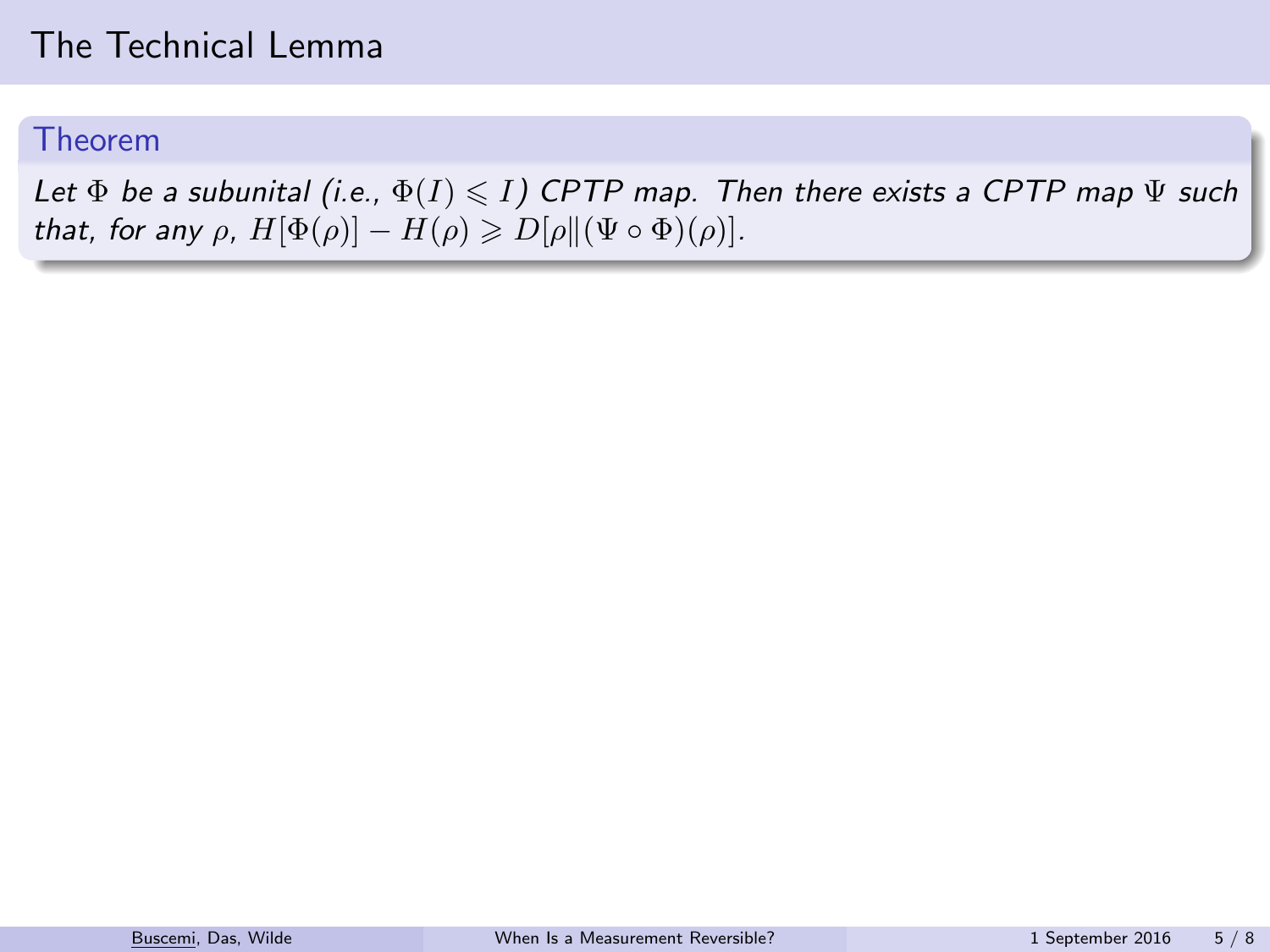#### Theorem

Let  $\Phi$  be a subunital (i.e.,  $\Phi(I) \leq I$ ) CPTP map. Then there exists a CPTP map  $\Psi$  such that, for any  $\rho$ ,  $H[\Phi(\rho)] - H(\rho) \geq D[\rho] [\Psi \circ \Phi](\rho)].$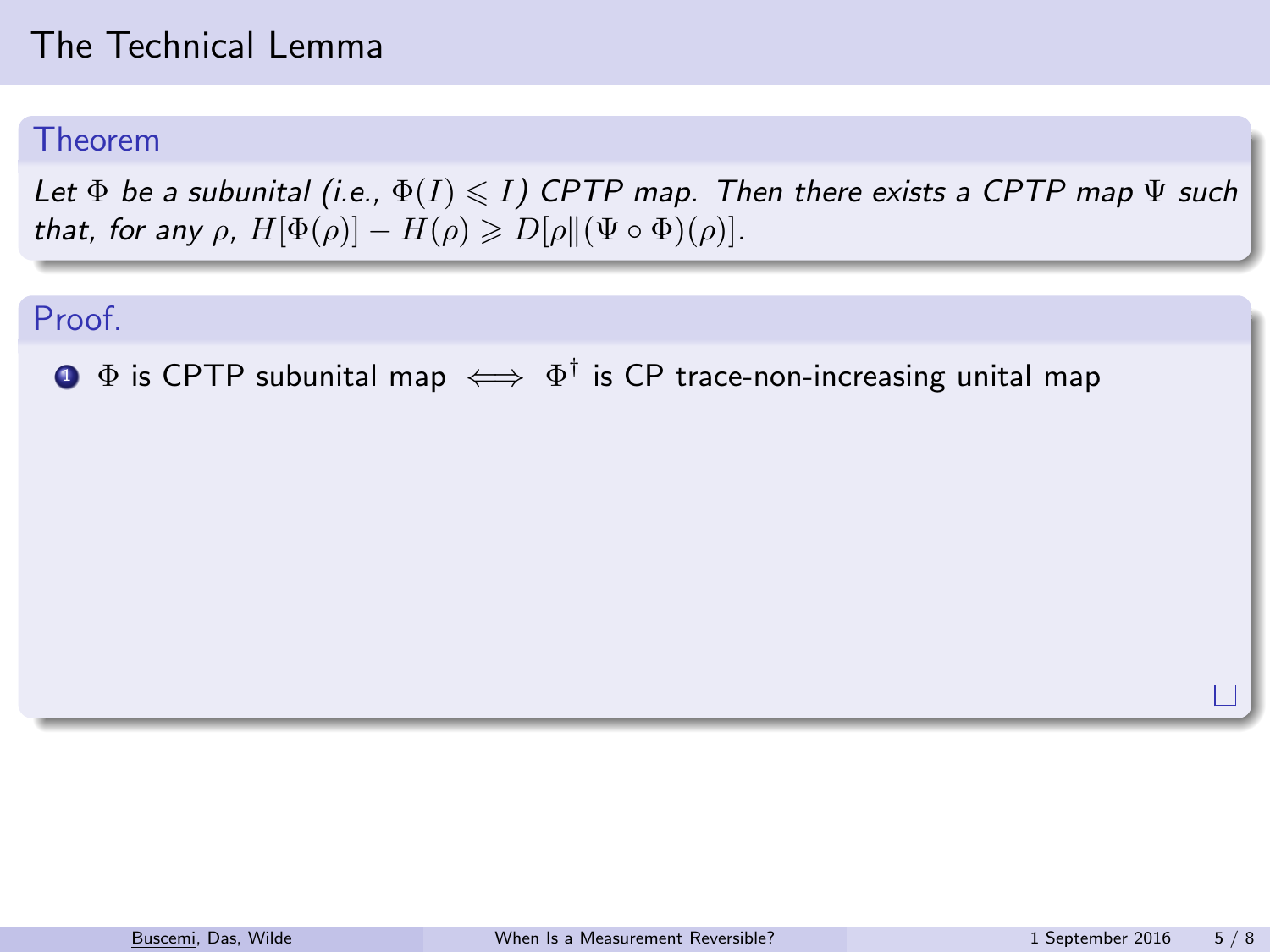#### Theorem

Let  $\Phi$  be a subunital (i.e.,  $\Phi(I) \leq I$ ) CPTP map. Then there exists a CPTP map  $\Psi$  such that, for any  $\rho$ ,  $H[\Phi(\rho)] - H(\rho) \geq D[\rho \| (\Psi \circ \Phi)(\rho)].$ 

#### Proof.

 $\mathbf{D}$   $\Phi$  is CPTP subunital map  $\iff \Phi^\dagger$  is CP trace-non-increasing unital map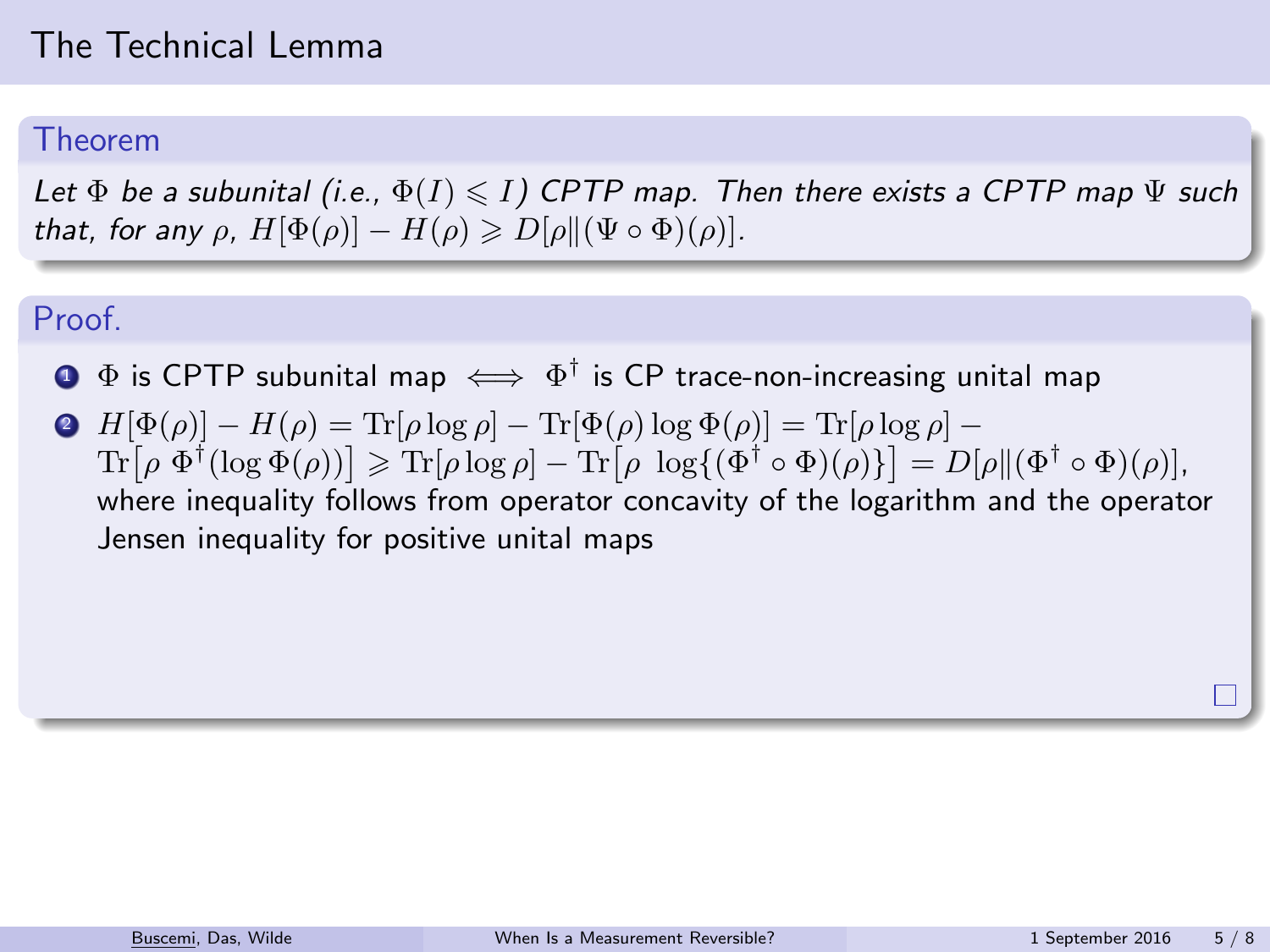#### Theorem

Let  $\Phi$  be a subunital (i.e.,  $\Phi(I) \leq I$ ) CPTP map. Then there exists a CPTP map  $\Psi$  such that, for any  $\rho$ ,  $H[\Phi(\rho)] - H(\rho) \geq D[\rho] [\Psi \circ \Phi](\rho)].$ 

#### Proof.

- $\mathbf{D}$   $\Phi$  is CPTP subunital map  $\iff \Phi^\dagger$  is CP trace-non-increasing unital map
- $\mathbf{P} \mathbf{H}[\Phi(\rho)] \mathbf{H}(\rho) = \text{Tr}[\rho \log \rho] \text{Tr}[\Phi(\rho) \log \Phi(\rho)] = \text{Tr}[\rho \log \rho] \mathbf{H}[\rho \log \rho]$  $\text{Tr}[\rho \ \Phi^{\dagger}(\log \Phi(\rho))] \geqslant \text{Tr}[\rho \log \rho] - \text{Tr}[\rho \ \log \{(\Phi^{\dagger} \circ \Phi)(\rho)\}] = D[\rho \|(\Phi^{\dagger} \circ \Phi)(\rho)],$ where inequality follows from operator concavity of the logarithm and the operator Jensen inequality for positive unital maps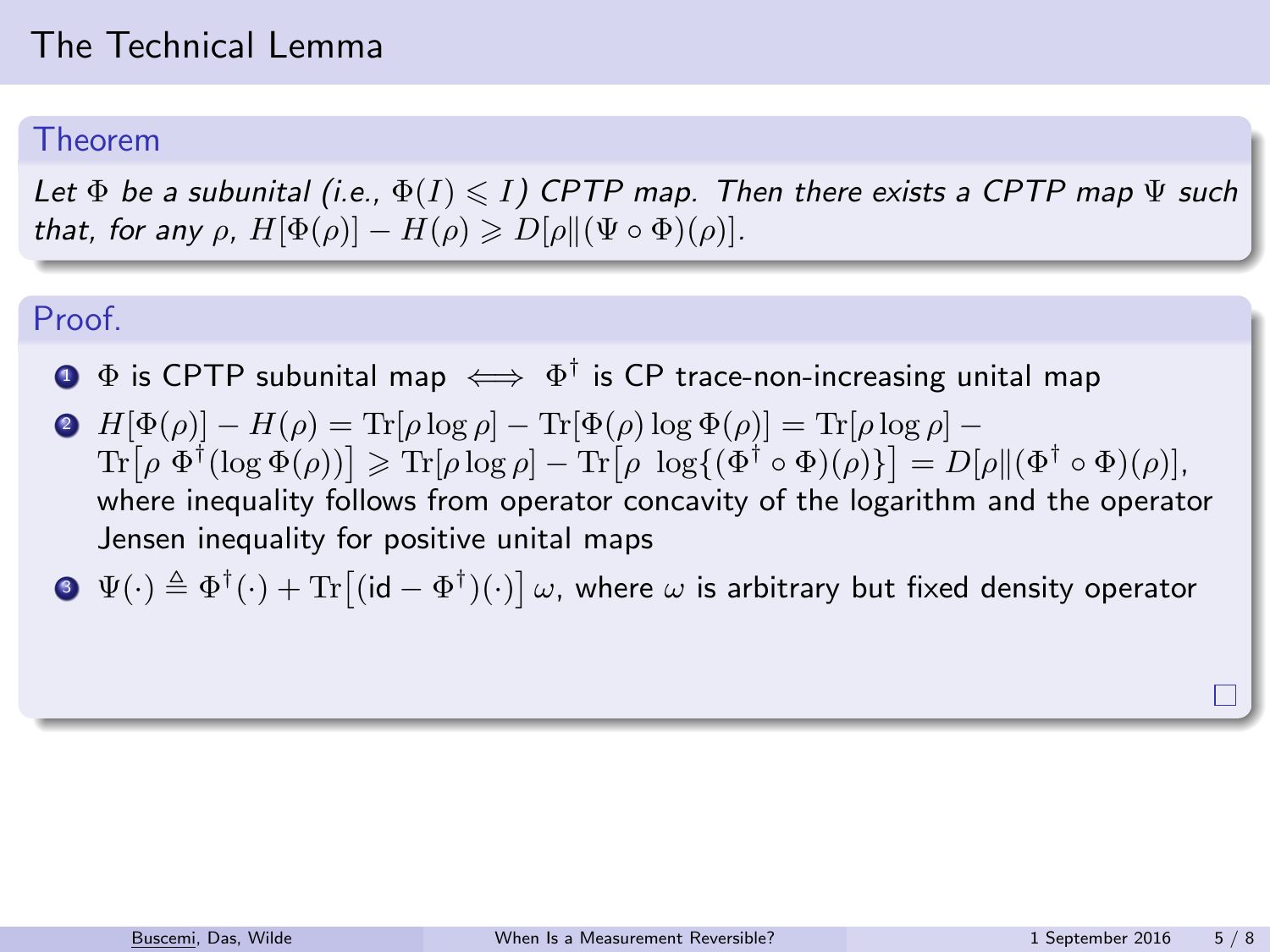#### Theorem

Let  $\Phi$  be a subunital (i.e.,  $\Phi(I) \leq I$ ) CPTP map. Then there exists a CPTP map  $\Psi$  such that, for any  $\rho$ ,  $H[\Phi(\rho)] - H(\rho) \geq D[\rho] [\Psi \circ \Phi](\rho)].$ 

#### Proof.

- $\mathbf{D}$   $\Phi$  is CPTP subunital map  $\iff \Phi^\dagger$  is CP trace-non-increasing unital map
- $\mathbf{P} \mathbf{H}[\Phi(\rho)] \mathbf{H}(\rho) = \text{Tr}[\rho \log \rho] \text{Tr}[\Phi(\rho) \log \Phi(\rho)] = \text{Tr}[\rho \log \rho] \mathbf{H}[\rho \log \rho]$  $\text{Tr}[\rho \ \Phi^{\dagger}(\log \Phi(\rho))] \geqslant \text{Tr}[\rho \log \rho] - \text{Tr}[\rho \ \log \{(\Phi^{\dagger} \circ \Phi)(\rho)\}] = D[\rho \|(\Phi^{\dagger} \circ \Phi)(\rho)],$ where inequality follows from operator concavity of the logarithm and the operator Jensen inequality for positive unital maps
- $\Phi^-\Psi(\cdot)\triangleq \Phi^\dagger(\cdot)+\text{Tr}\big[(\mathsf{id}-\Phi^\dagger)(\cdot)\big]\,\omega,$  where  $\omega$  is arbitrary but fixed density operator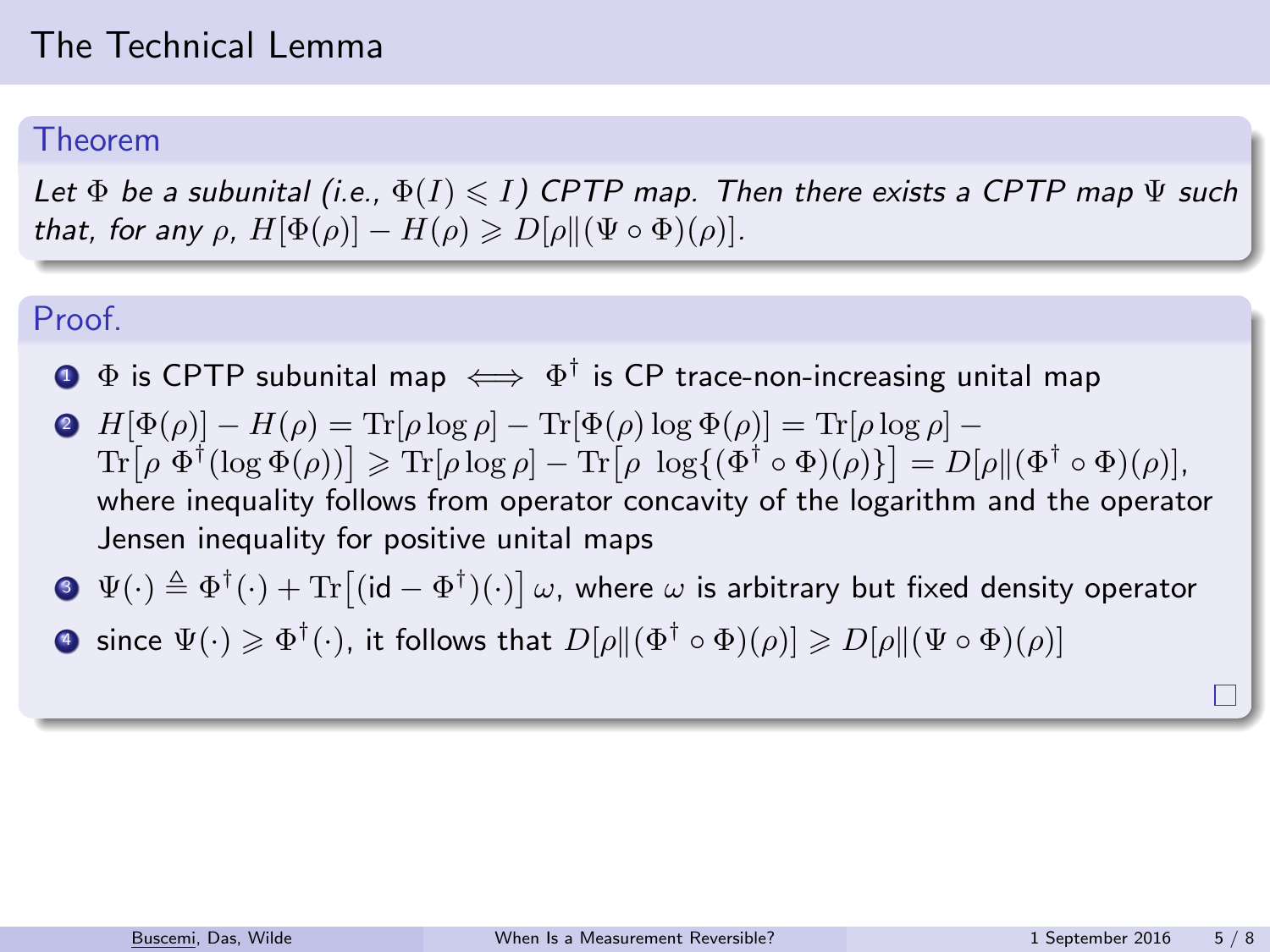#### Theorem

Let  $\Phi$  be a subunital (i.e.,  $\Phi(I) \leq I$ ) CPTP map. Then there exists a CPTP map  $\Psi$  such that, for any  $\rho$ ,  $H[\Phi(\rho)] - H(\rho) \geq D[\rho] [\Psi \circ \Phi](\rho)].$ 

#### Proof.

- $\mathbf{D}$   $\Phi$  is CPTP subunital map  $\iff \Phi^\dagger$  is CP trace-non-increasing unital map
- $\mathbf{P} \mathbf{H}[\Phi(\rho)] \mathbf{H}(\rho) = \text{Tr}[\rho \log \rho] \text{Tr}[\Phi(\rho) \log \Phi(\rho)] = \text{Tr}[\rho \log \rho] \mathbf{H}[\rho \log \rho]$  $\text{Tr}[\rho \ \Phi^{\dagger}(\log \Phi(\rho))] \geqslant \text{Tr}[\rho \log \rho] - \text{Tr}[\rho \ \log \{(\Phi^{\dagger} \circ \Phi)(\rho)\}] = D[\rho \|(\Phi^{\dagger} \circ \Phi)(\rho)],$ where inequality follows from operator concavity of the logarithm and the operator Jensen inequality for positive unital maps
- $\Phi^-\Psi(\cdot)\triangleq \Phi^\dagger(\cdot)+\text{Tr}\big[(\mathsf{id}-\Phi^\dagger)(\cdot)\big]\,\omega,$  where  $\omega$  is arbitrary but fixed density operator
- $\bullet$  since  $\Psi(\cdot)\geqslant \Phi^\dagger(\cdot)$ , it follows that  $D[\rho\|(\Phi^\dagger\circ \Phi)(\rho)]\geqslant D[\rho\|(\Psi\circ \Phi)(\rho)]$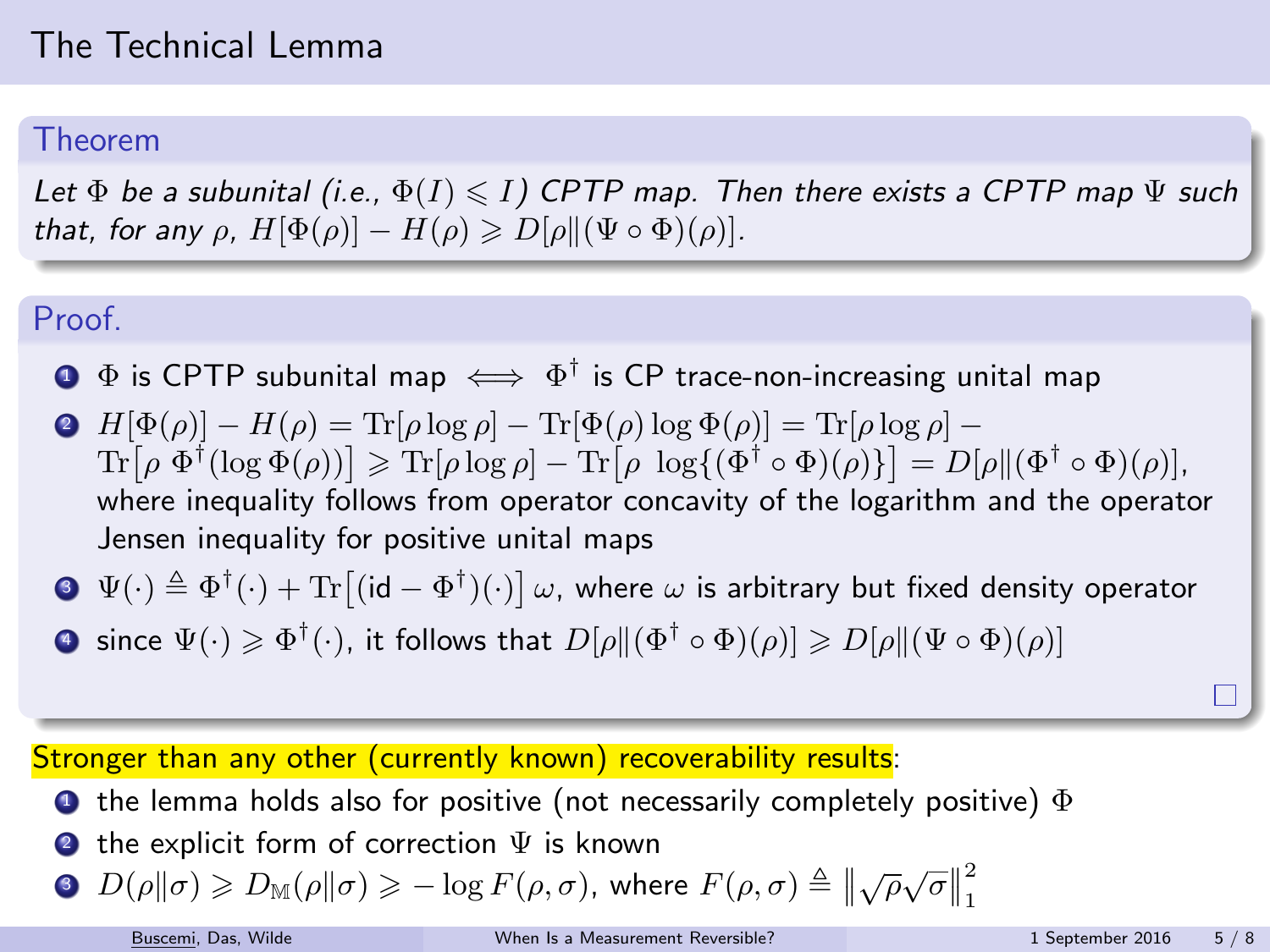#### Theorem

Let  $\Phi$  be a subunital (i.e.,  $\Phi(I) \leq I$ ) CPTP map. Then there exists a CPTP map  $\Psi$  such that, for any  $\rho$ ,  $H[\Phi(\rho)] - H(\rho) \geq D[\rho] [\Psi \circ \Phi](\rho)].$ 

#### Proof.

- $\mathbf{D}$   $\Phi$  is CPTP subunital map  $\iff \Phi^\dagger$  is CP trace-non-increasing unital map
- $\mathbf{P} \mathbf{H}[\Phi(\rho)] \mathbf{H}(\rho) = \text{Tr}[\rho \log \rho] \text{Tr}[\Phi(\rho) \log \Phi(\rho)] = \text{Tr}[\rho \log \rho] \mathbf{H}[\rho \log \rho]$  $\text{Tr}[\rho \ \Phi^{\dagger}(\log \Phi(\rho))] \geqslant \text{Tr}[\rho \log \rho] - \text{Tr}[\rho \ \log \{(\Phi^{\dagger} \circ \Phi)(\rho)\}] = D[\rho \|(\Phi^{\dagger} \circ \Phi)(\rho)],$ where inequality follows from operator concavity of the logarithm and the operator Jensen inequality for positive unital maps

$$
\textbf{Q} \ \ \Psi(\cdot) \triangleq \Phi^{\dagger}(\cdot) + \text{Tr}\big[(\text{id} - \Phi^{\dagger})(\cdot)\big] \omega, \text{ where } \omega \text{ is arbitrary but fixed density operator}
$$

 $\bullet$  since  $\Psi(\cdot)\geqslant \Phi^\dagger(\cdot)$ , it follows that  $D[\rho\|(\Phi^\dagger\circ \Phi)(\rho)]\geqslant D[\rho\|(\Psi\circ \Phi)(\rho)]$ 

Stronger than any other (currently known) recoverability results:

- **1** the lemma holds also for positive (not necessarily completely positive)  $\Phi$
- $\bullet$  the explicit form of correction  $\Psi$  is known

• 
$$
D(\rho||\sigma) \geq D_{\mathbb{M}}(\rho||\sigma) \geq -\log F(\rho, \sigma)
$$
, where  $F(\rho, \sigma) \triangleq ||\sqrt{\rho}\sqrt{\sigma}||_1^2$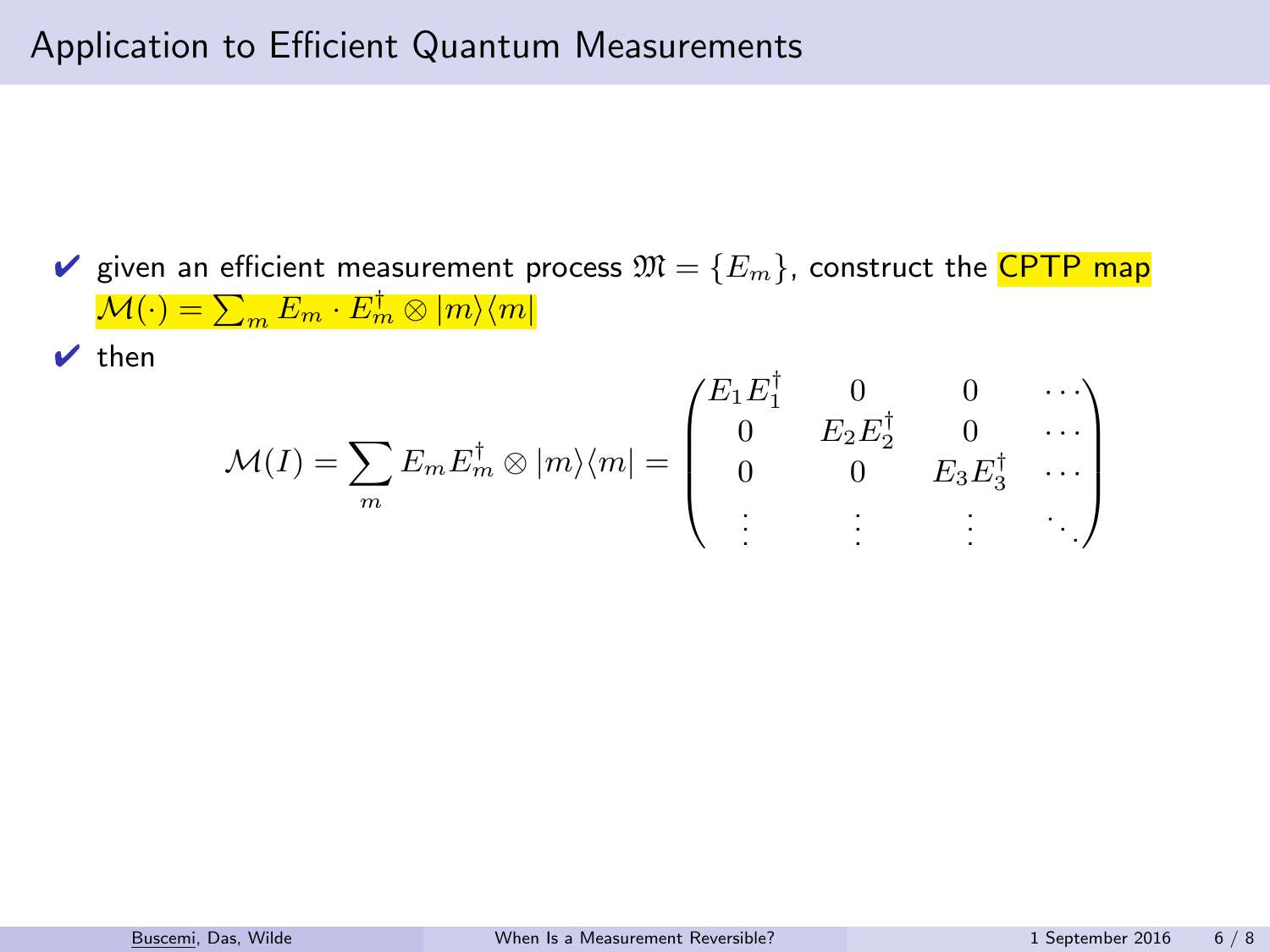$\vee$  then

$$
\mathcal{M}(I) = \sum_{m} E_m E_m^{\dagger} \otimes |m\rangle\langle m| = \begin{pmatrix} E_1 E_1^{\dagger} & 0 & 0 & \cdots \\ 0 & E_2 E_2^{\dagger} & 0 & \cdots \\ 0 & 0 & E_3 E_3^{\dagger} & \cdots \\ \vdots & \vdots & \vdots & \ddots \end{pmatrix}
$$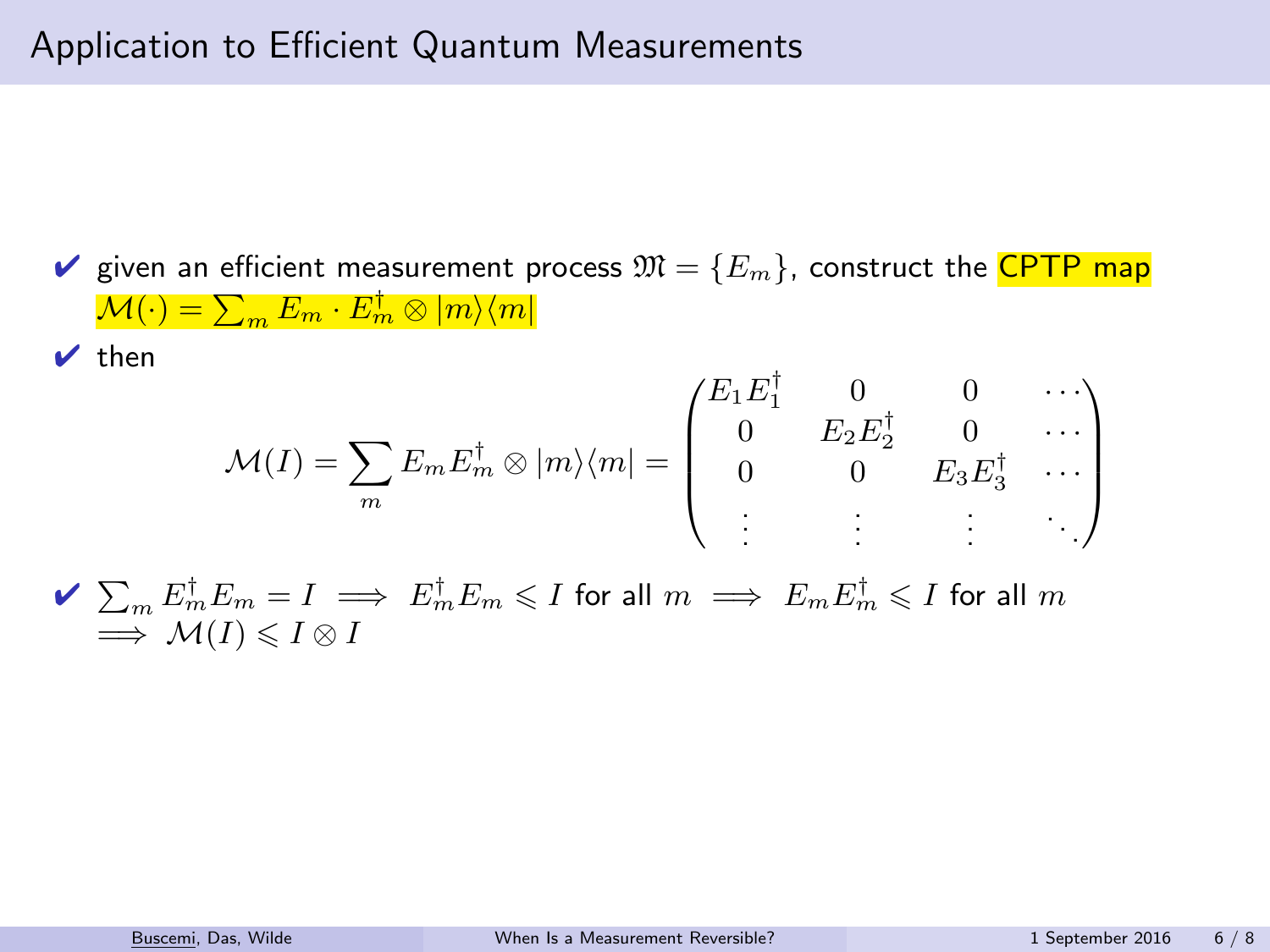$\vee$  then

$$
\mathcal{M}(I) = \sum_{m} E_m E_m^{\dagger} \otimes |m\rangle\langle m| = \begin{pmatrix} E_1 E_1^{\dagger} & 0 & 0 & \cdots \\ 0 & E_2 E_2^{\dagger} & 0 & \cdots \\ 0 & 0 & E_3 E_3^{\dagger} & \cdots \\ \vdots & \vdots & \vdots & \ddots \end{pmatrix}
$$

 $\blacktriangleright \ \sum_m E_m^\dagger E_m = I \implies E_m^\dagger E_m \leqslant I$  for all  $m \implies E_m E_m^\dagger \leqslant I$  for all  $m$  $\Rightarrow$  M(I)  $\leq I \otimes I$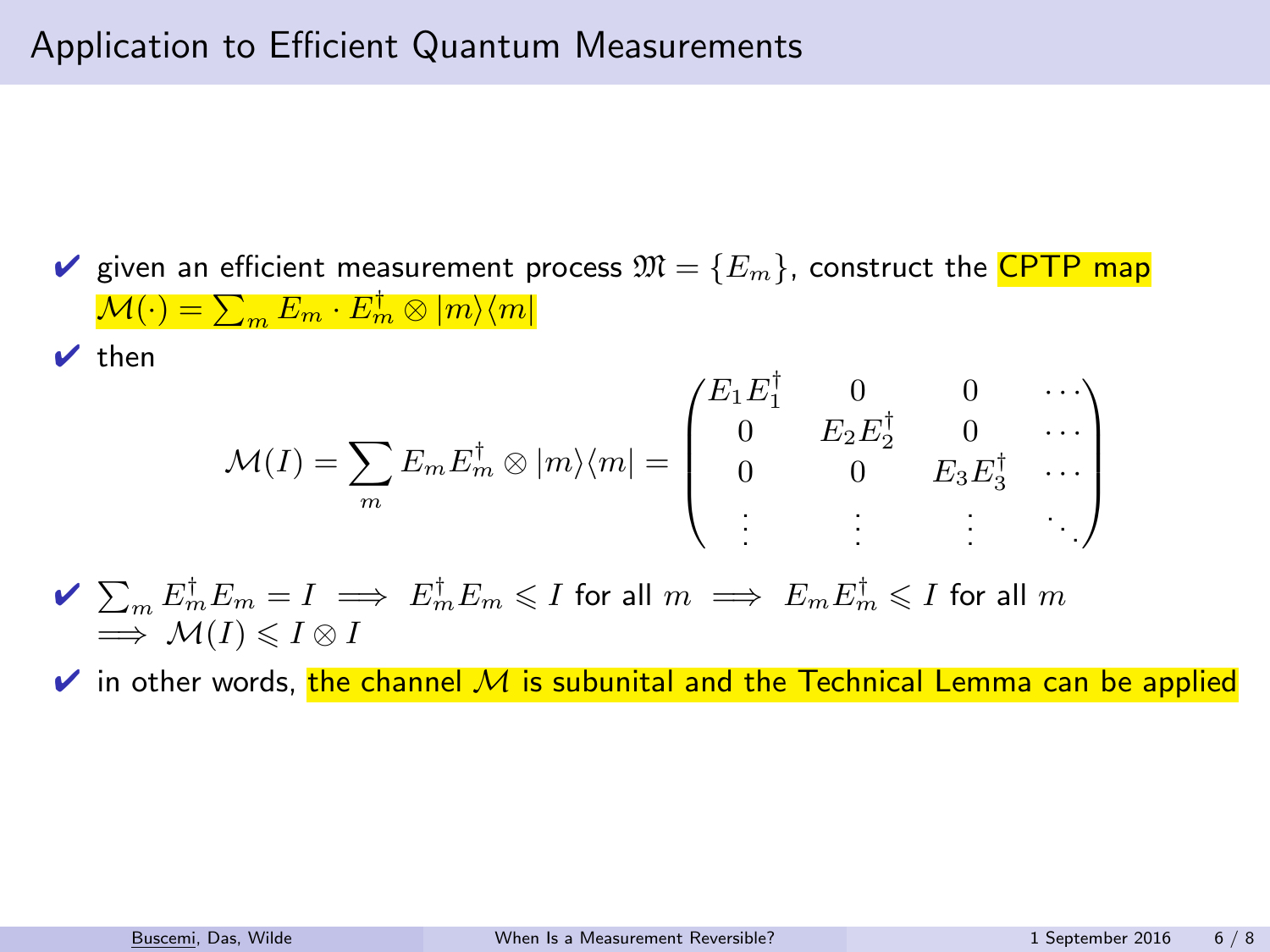$\vee$  then

$$
\mathcal{M}(I) = \sum_{m} E_m E_m^{\dagger} \otimes |m\rangle\langle m| = \begin{pmatrix} E_1 E_1^{\dagger} & 0 & 0 & \cdots \\ 0 & E_2 E_2^{\dagger} & 0 & \cdots \\ 0 & 0 & E_3 E_3^{\dagger} & \cdots \\ \vdots & \vdots & \vdots & \ddots \end{pmatrix}
$$

 $\blacktriangleright \ \sum_m E_m^\dagger E_m = I \implies E_m^\dagger E_m \leqslant I$  for all  $m \implies E_m E_m^\dagger \leqslant I$  for all  $m$  $\implies M(I) \leq I \otimes I$ 

 $\vee$  in other words, the channel M is subunital and the Technical Lemma can be applied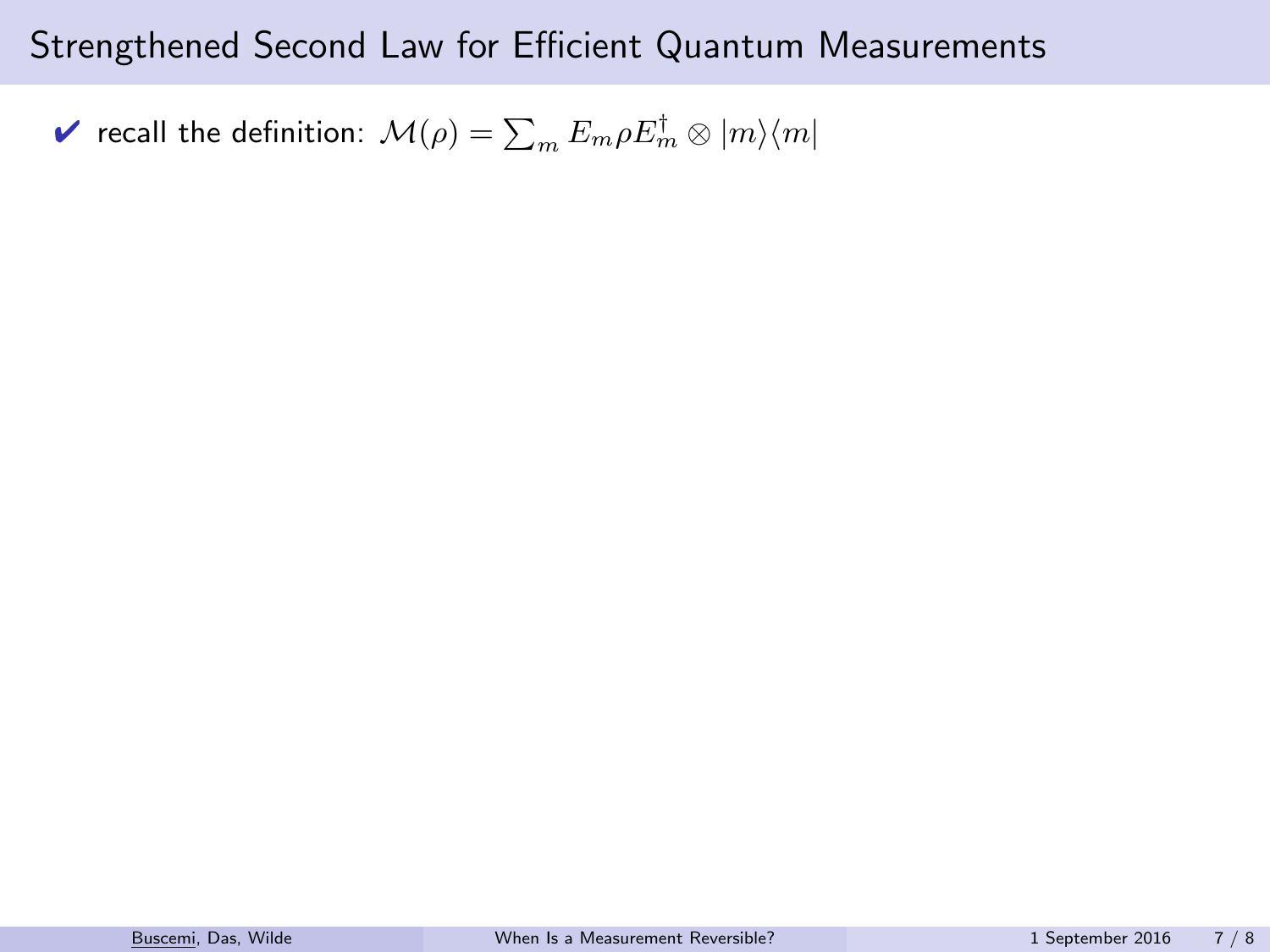$\blacktriangledown$  recall the definition:  $\mathcal{M}(\rho)=\sum_{m}E_{m}\rho E_{m}^{\dagger}\otimes|m\rangle\langle m|$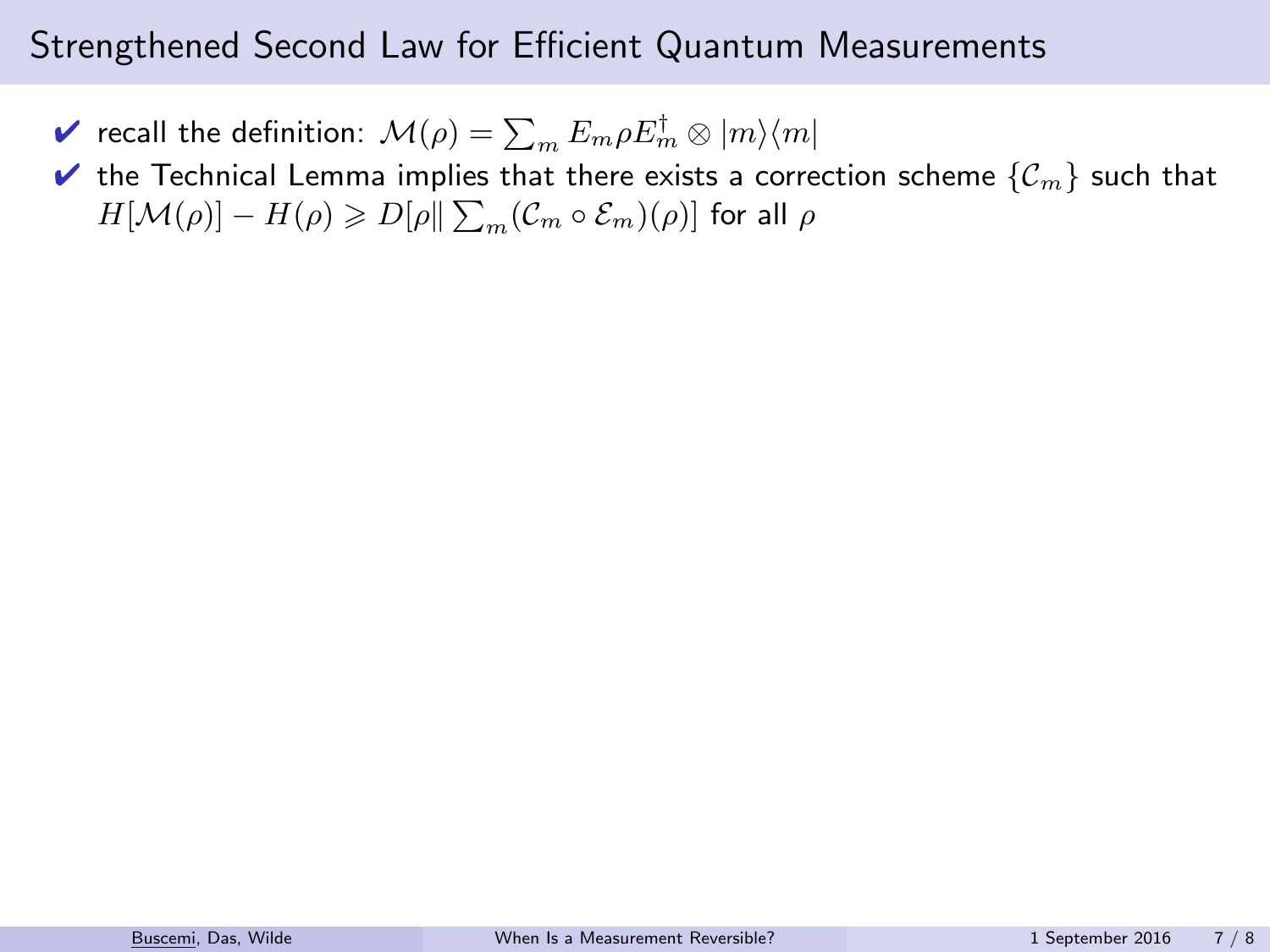- $\blacktriangledown$  recall the definition:  $\mathcal{M}(\rho)=\sum_{m}E_{m}\rho E_{m}^{\dagger}\otimes|m\rangle\langle m|$
- $\blacktriangleright$  the Technical Lemma implies that there exists a correction scheme  $\{C_m\}$  such that  $H[\mathcal{M}(\rho)] - H(\rho) \geqslant D[\rho \| \sum_{m} (\mathcal{C}_{m} \circ \mathcal{E}_{m})(\rho)]$  for all  $\rho$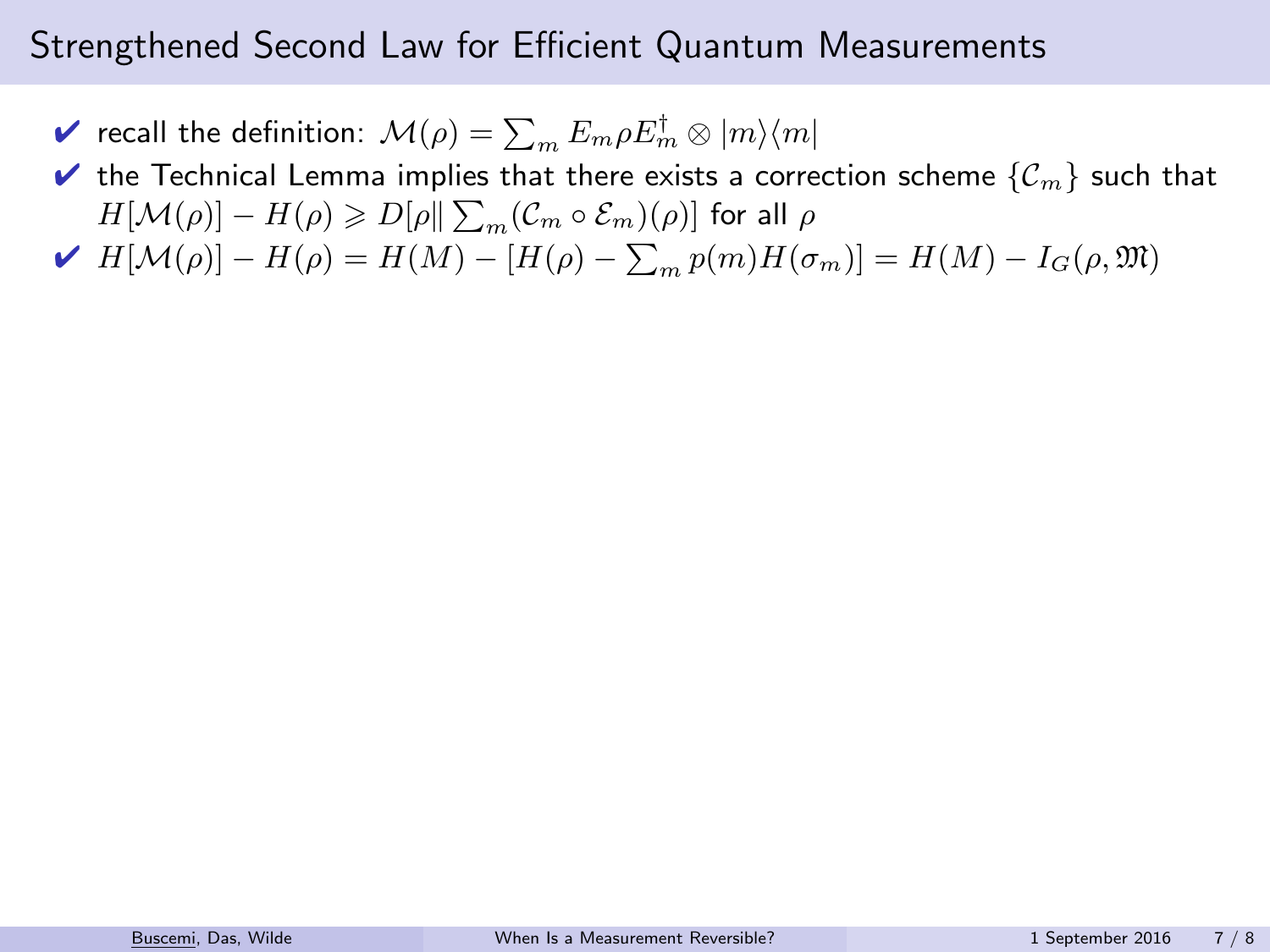- $\blacktriangledown$  recall the definition:  $\mathcal{M}(\rho)=\sum_{m}E_{m}\rho E_{m}^{\dagger}\otimes|m\rangle\langle m|$
- $\blacktriangleright$  the Technical Lemma implies that there exists a correction scheme  $\{\mathcal{C}_m\}$  such that  $H[\mathcal{M}(\rho)] - H(\rho) \geqslant D[\rho \| \sum_{m} (\mathcal{C}_{m} \circ \mathcal{E}_{m})(\rho)]$  for all  $\rho$
- $\blacktriangleright H[M(\rho)] H(\rho) = H(M) [H(\rho) \sum_m p(m)H(\sigma_m)] = H(M) I_G(\rho, \mathfrak{M})$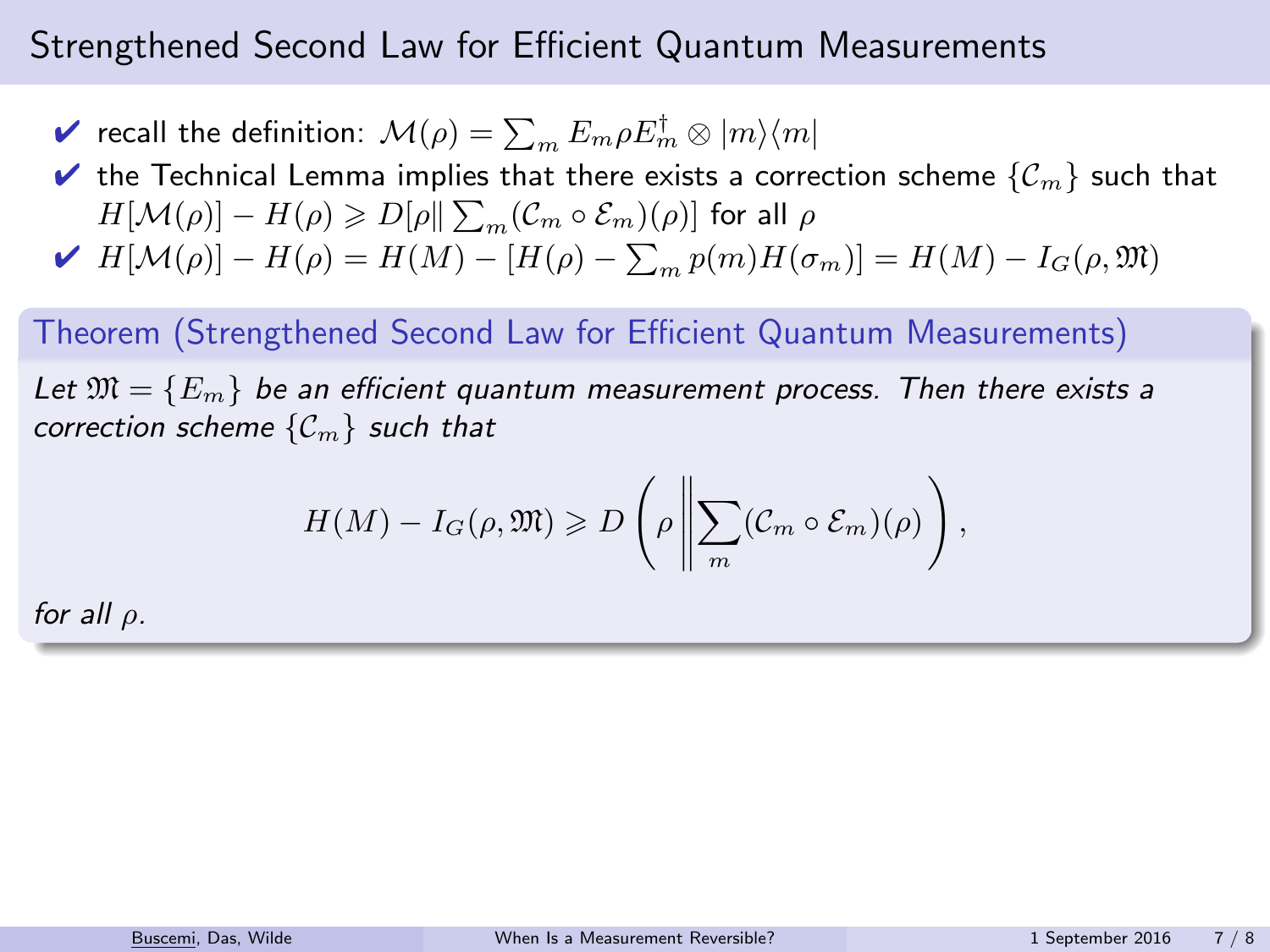$\blacktriangledown$  recall the definition:  $\mathcal{M}(\rho)=\sum_{m}E_{m}\rho E_{m}^{\dagger}\otimes|m\rangle\langle m|$ 

 $\blacktriangleright$  the Technical Lemma implies that there exists a correction scheme  $\{C_m\}$  such that  $H[\mathcal{M}(\rho)] - H(\rho) \geqslant D[\rho \| \sum_{m} (\mathcal{C}_{m} \circ \mathcal{E}_{m})(\rho)]$  for all  $\rho$ 

$$
\blacktriangleright \ H[\mathcal{M}(\rho)] - H(\rho) = H(M) - [H(\rho) - \sum_{m} p(m)H(\sigma_m)] = H(M) - I_G(\rho, \mathfrak{M})
$$

#### Theorem (Strengthened Second Law for Efficient Quantum Measurements)

Let  $\mathfrak{M} = \{E_m\}$  be an efficient quantum measurement process. Then there exists a correction scheme  $\{C_m\}$  such that

$$
H(M) - I_G(\rho, \mathfrak{M}) \geq D\left(\rho \left\| \sum_m (\mathcal{C}_m \circ \mathcal{E}_m)(\rho) \right.\right),
$$

for all  $\rho$ .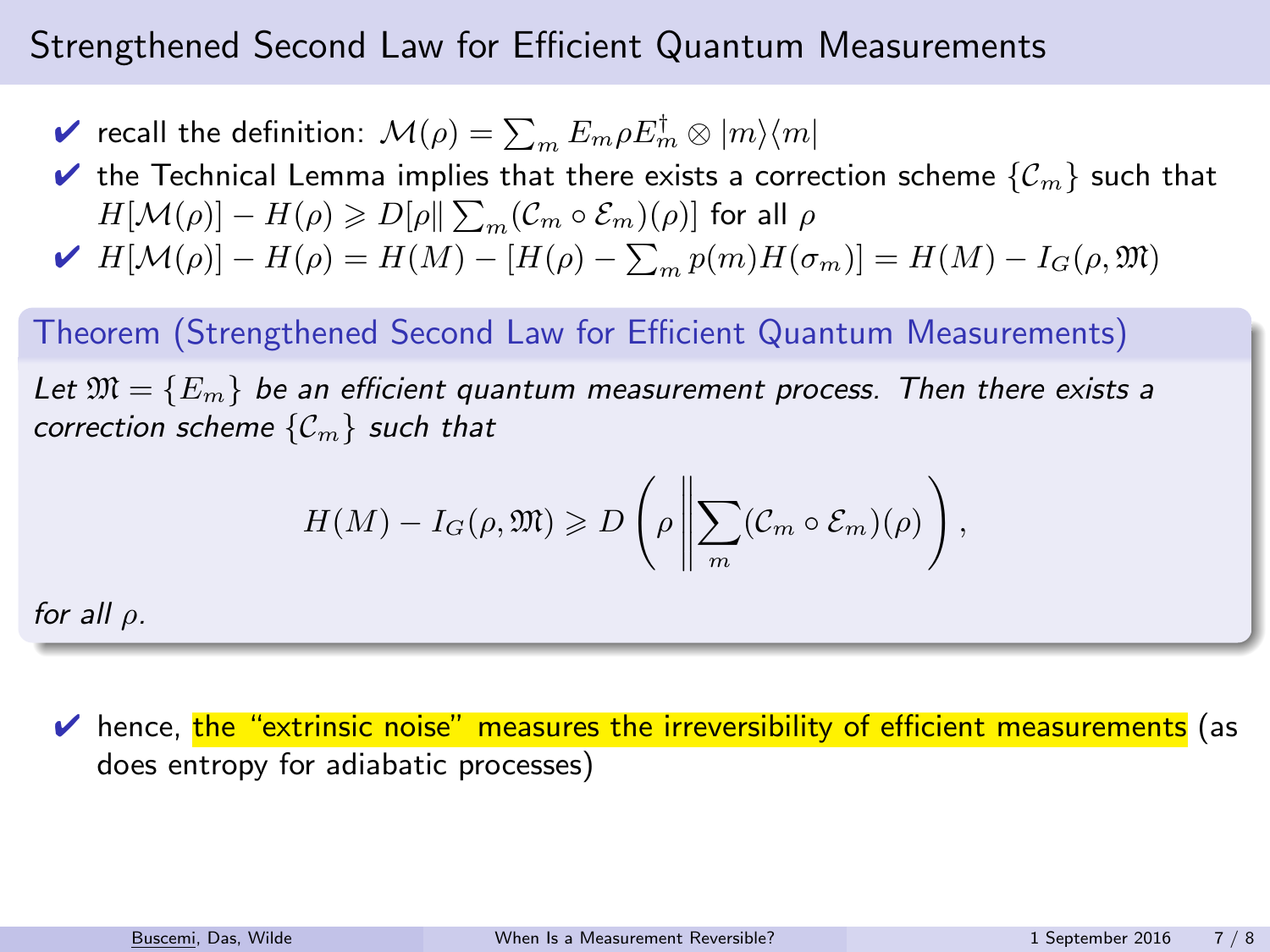$\blacktriangledown$  recall the definition:  $\mathcal{M}(\rho)=\sum_{m}E_{m}\rho E_{m}^{\dagger}\otimes|m\rangle\langle m|$ 

 $\blacktriangleright$  the Technical Lemma implies that there exists a correction scheme  $\{\mathcal{C}_m\}$  such that  $H[\mathcal{M}(\rho)] - H(\rho) \geqslant D[\rho \| \sum_{m} (\mathcal{C}_{m} \circ \mathcal{E}_{m})(\rho)]$  for all  $\rho$ 

$$
\blacktriangleright \ H[\mathcal{M}(\rho)] - H(\rho) = H(M) - [H(\rho) - \sum_{m} p(m)H(\sigma_m)] = H(M) - I_G(\rho, \mathfrak{M})
$$

#### Theorem (Strengthened Second Law for Efficient Quantum Measurements)

Let  $\mathfrak{M} = \{E_m\}$  be an efficient quantum measurement process. Then there exists a correction scheme  $\{C_m\}$  such that

$$
H(M) - I_G(\rho, \mathfrak{M}) \geq D\left(\rho \left\| \sum_m (\mathcal{C}_m \circ \mathcal{E}_m)(\rho) \right.\right),
$$

for all  $\rho$ .

 $\vee$  hence, the "extrinsic noise" measures the irreversibility of efficient measurements (as does entropy for adiabatic processes)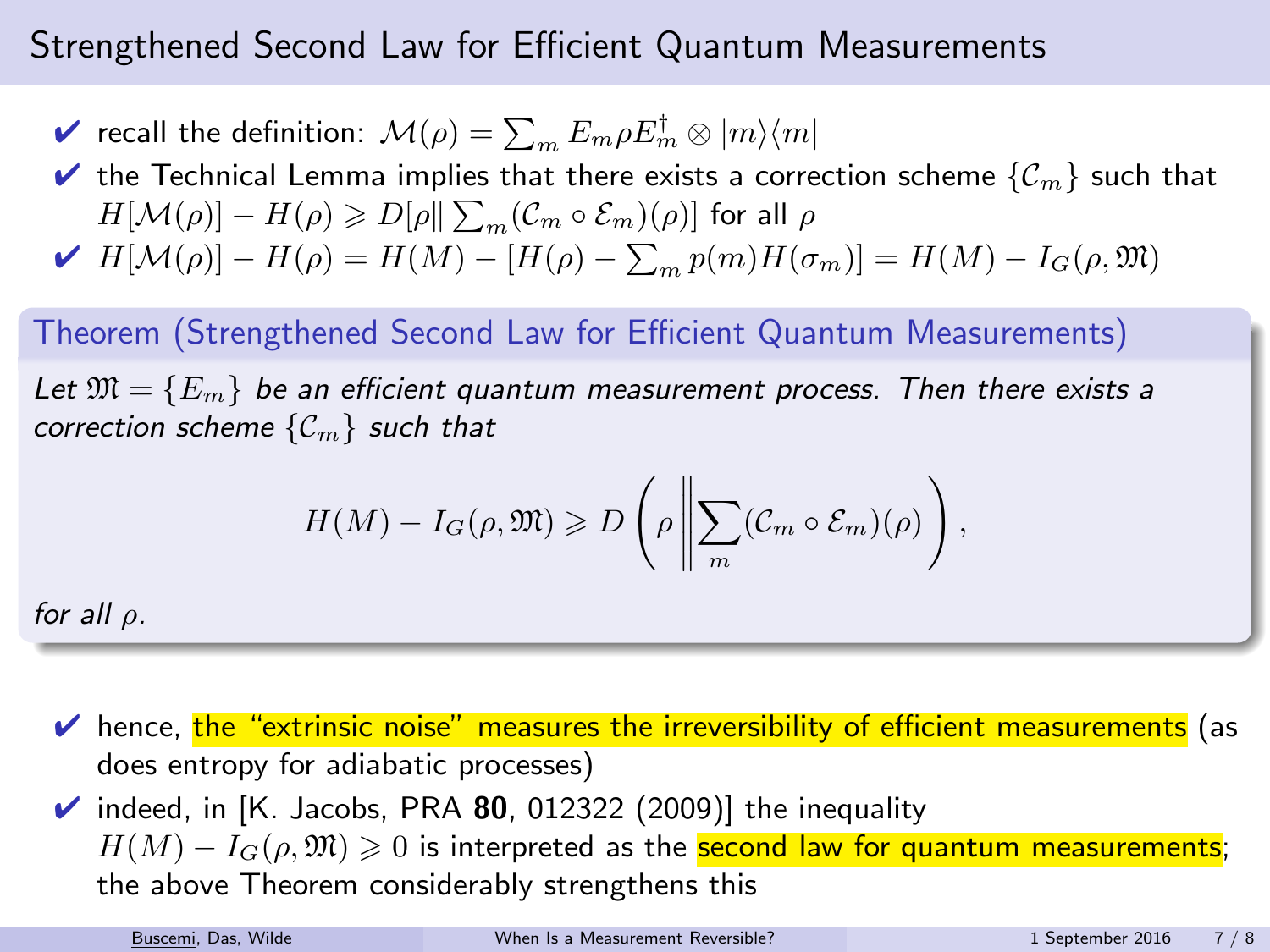$\blacktriangledown$  recall the definition:  $\mathcal{M}(\rho)=\sum_{m}E_{m}\rho E_{m}^{\dagger}\otimes|m\rangle\langle m|$ 

 $\blacktriangleright$  the Technical Lemma implies that there exists a correction scheme  $\{\mathcal{C}_m\}$  such that  $H[\mathcal{M}(\rho)] - H(\rho) \geqslant D[\rho \| \sum_{m} (\mathcal{C}_{m} \circ \mathcal{E}_{m})(\rho)]$  for all  $\rho$ 

$$
\blacktriangleright \ H[\mathcal{M}(\rho)] - H(\rho) = H(M) - [H(\rho) - \sum_{m} p(m)H(\sigma_m)] = H(M) - I_G(\rho, \mathfrak{M})
$$

#### Theorem (Strengthened Second Law for Efficient Quantum Measurements)

Let  $\mathfrak{M} = \{E_m\}$  be an efficient quantum measurement process. Then there exists a correction scheme  $\{C_m\}$  such that

$$
H(M) - I_G(\rho, \mathfrak{M}) \geq D\left(\rho \left\| \sum_m (\mathcal{C}_m \circ \mathcal{E}_m)(\rho) \right.\right),
$$

for all  $\rho$ .

 $\vee$  hence, the "extrinsic noise" measures the irreversibility of efficient measurements (as does entropy for adiabatic processes)

 $\checkmark$  indeed, in [K. Jacobs, PRA 80, 012322 (2009)] the inequality  $H(M) - I_G(\rho, \mathfrak{M}) \geq 0$  is interpreted as the **second law for quantum measurements**; the above Theorem considerably strengthens this